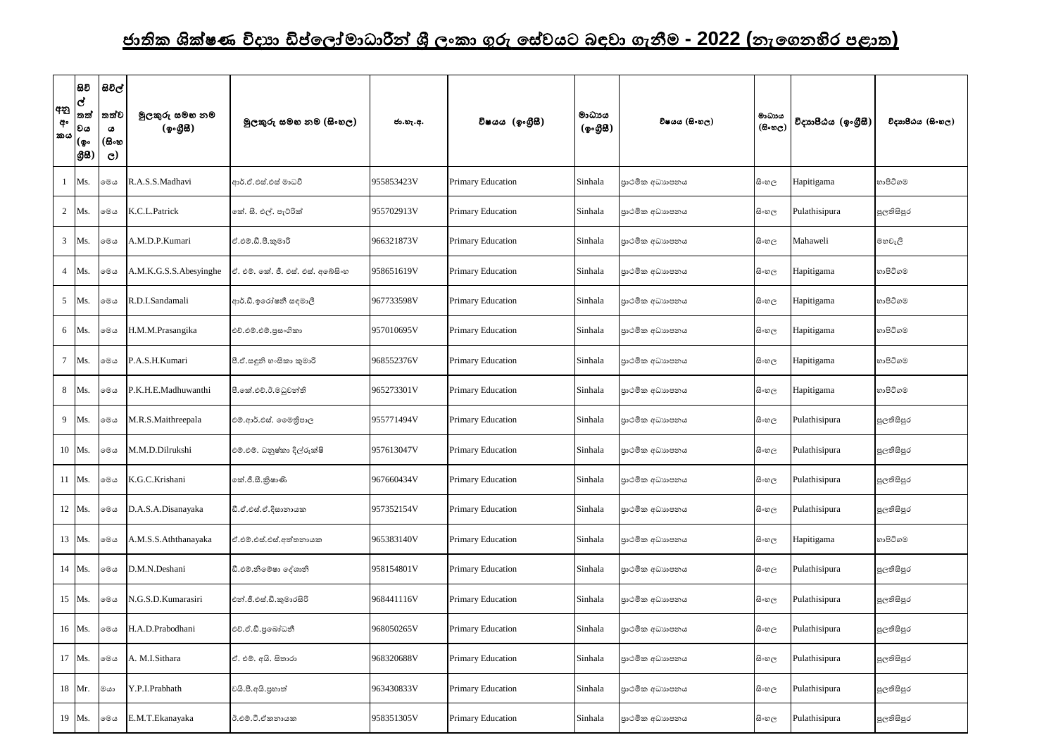## <u>ජාතික ශික්ෂණ විදාහ ඩිප්ලෝමාධාරීන් ශී ලංකා ගුරු සේවයට බඳවා ගැනීම **- 2022 (**නැගෙනහිර පළාත)</u>

| අනු<br>අං<br>'කය | සිවි<br>$\overline{d}$<br>තත්<br> වය<br> (စွး<br>ලීසි | සිවිල්<br>තත්ව<br>ය<br>(සිංහ<br>$\mathbf{C}$ | මුලකුරු සමහ නම<br>(ඉංගීසී) | මූලකුරු සමහ නම (සිංහල)            | ජා.හැ.අ.   | විෂයය (ඉංගීුසී)          | මාධායය<br>(ඉංගීසි) | විෂයය (සිංහල)   | මාධායය<br>$(B \circ \mathfrak{v}_C)$ | විදාහපීඨය (ඉංගීසී) | විදාහපීඨය (සිංහල) |
|------------------|-------------------------------------------------------|----------------------------------------------|----------------------------|-----------------------------------|------------|--------------------------|--------------------|-----------------|--------------------------------------|--------------------|-------------------|
|                  | Ms.                                                   | මෙය                                          | R.A.S.S.Madhavi            | ආර්.ඒ.එස්.එස් මාධවී               | 955853423V | <b>Primary Education</b> | Sinhala            | පාථමික අධාහපනය  | සි∘හල                                | Hapitigama         | හාපිටිගම          |
| $\overline{2}$   | Ms.                                                   | මෙය                                          | K.C.L.Patrick              | කේ. සී. එල්. පැට්රික්             | 955702913V | Primary Education        | Sinhala            | පාථමික අධාහපනය  | සි∘හල                                | Pulathisipura      | පුලතිසිපුර        |
| 3                | Ms.                                                   | මෙය                                          | A.M.D.P.Kumari             | ඒ.එම්.ඩී.පී.කුමාරි                | 966321873V | Primary Education        | Sinhala            | පාථමික අධාහපනය  | සි∘හල                                | Mahaweli           | මහවැලි            |
| $\overline{4}$   | Ms.                                                   | මෙය                                          | A.M.K.G.S.S.Abesyinghe     | ඒ. එම්. කේ. ජී. එස්. එස්. අබේසිංහ | 958651619V | Primary Education        | Sinhala            | පාථමික අධාහපනය  | සි∘හල                                | Hapitigama         | හාපිටිගම          |
| $5\overline{)}$  | Ms.                                                   | මෙය                                          | R.D.I.Sandamali            | ආර්.ඩී.ඉරෝෂනී සඳමාලී              | 967733598V | Primary Education        | Sinhala            | පුාථමික අධාහපනය | සි∘හල                                | Hapitigama         | හාපිටිගම          |
| 6                | Ms.                                                   | මෙය                                          | H.M.M.Prasangika           | එච්.එම්.එම්.පුසංගිකා              | 957010695V | Primary Education        | Sinhala            | පාථමික අධාහපනය  | සි∘හල                                | Hapitigama         | හාපිටිගම          |
| $\tau$           | Ms.                                                   | මෙය                                          | P.A.S.H.Kumari             | පී.ඒ.සඳුනි හ∘සිකා කුමාරි          | 968552376V | Primary Education        | Sinhala            | පාථමික අධාහපනය  | සි∘හල                                | Hapitigama         | හාපිටිගම          |
| 8                | Ms.                                                   | මෙය                                          | P.K.H.E.Madhuwanthi        | පී.කේ.එච්.ඊ.මධුවන්ති              | 965273301V | Primary Education        | Sinhala            | පාථමික අධාහපනය  | සිංහල                                | Hapitigama         | හාපිටිගම          |
| 9                | Ms.                                                   | මෙය                                          | M.R.S.Maithreepala         | එම්.ආර්.එස්. මෛතිපාල              | 955771494V | Primary Education        | Sinhala            | පාථමික අධාහපනය  | සි∘හල                                | Pulathisipura      | පුලතිසිපුර        |
|                  | 10 Ms.                                                | මෙය                                          | M.M.D.Dilrukshi            | එම්.එම්. ධනුෂ්කා දිල්රුක්ෂි       | 957613047V | Primary Education        | Sinhala            | පුාථමික අධාහපනය | සි∘හල                                | Pulathisipura      | පුලතිසිපුර        |
| 11               | Ms.                                                   | මෙය                                          | K.G.C.Krishani             | කේ.ජී.සී.කුිෂාණි                  | 967660434V | Primary Education        | Sinhala            | පාථමික අධාහපනය  | සි∘හල                                | Pulathisipura      | පුලතිසිපුර        |
|                  | 12 Ms.                                                | මෙය                                          | D.A.S.A.Disanayaka         | ඩී.ඒ.එස්.ඒ.දිසානායක               | 957352154V | Primary Education        | Sinhala            | පාථමික අධාහපනය  | සි∘හල                                | Pulathisipura      | පුලතිසිපුර        |
|                  | 13 Ms.                                                | මෙය                                          | A.M.S.S.Aththanayaka       | ඒ.එම්.එස්.එස්.අත්තනායක            | 965383140V | Primary Education        | Sinhala            | පාථමික අධාහපනය  | සිංහල                                | Hapitigama         | හාපිටිගම          |
|                  | 14 Ms.                                                | මෙය                                          | D.M.N.Deshani              | ඩී.එම්.නිමේෂා දේශානි              | 958154801V | Primary Education        | Sinhala            | පාථමික අධාහපනය  | සිංහල                                | Pulathisipura      | පුලතිසිපුර        |
|                  | 15 Ms.                                                | මෙය                                          | N.G.S.D.Kumarasiri         | එන්.ජී.එස්.ඩී.කුමාරසිරි           | 968441116V | Primary Education        | Sinhala            | පාථමික අධාහපනය  | සි∘හල                                | Pulathisipura      | පුලතිසිපුර        |
|                  | 16 Ms.                                                | මෙය                                          | H.A.D.Prabodhani           | එච්.ඒ.ඩී.පුබෝධනී                  | 968050265V | Primary Education        | Sinhala            | පාථමික අධාහපනය  | සි∘හල                                | Pulathisipura      | පුලතිසිපුර        |
|                  | 17 Ms.                                                | මෙය                                          | A. M.I.Sithara             | ඒ. එම්. අයි. සිතාරා               | 968320688V | Primary Education        | Sinhala            | පුාථමික අධාහපනය | සි∘හල                                | Pulathisipura      | පුලතිසිපුර        |
|                  | 18 Mr.                                                | මයා                                          | Y.P.I.Prabhath             | වයි.පී.අයි.පුහාත්                 | 963430833V | Primary Education        | Sinhala            | පාථමික අධාහපනය  | සිංහල                                | Pulathisipura      | පුලතිසිපුර        |
|                  | 19 Ms.                                                | මෙය                                          | E.M.T.Ekanayaka            | ඊ.එම්.ටී.ඒකනායක                   | 958351305V | Primary Education        | Sinhala            | පාථමික අධාහපනය  | සි∘හල                                | Pulathisipura      | පුලතිසිපුර        |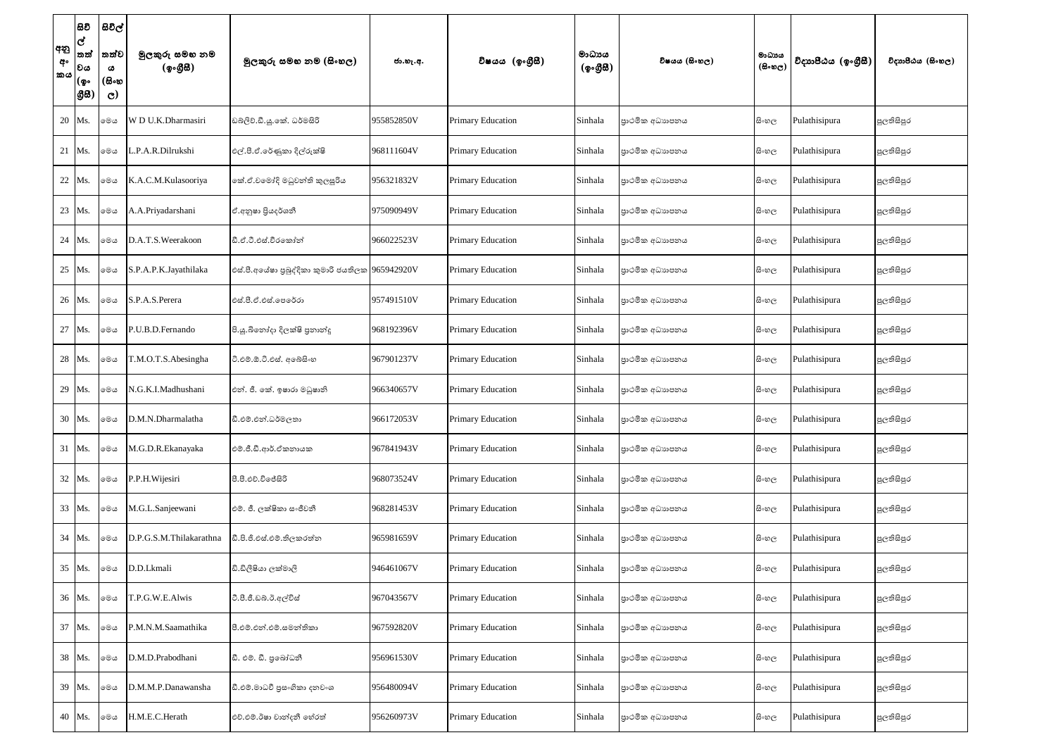| අනු<br>අං<br>කය | සිවි<br> ල්<br>තත්<br> වය<br> (စွ۰<br> යුස | සිවිල්<br>තත්ව<br>ය<br>(සිංහ<br>$\mathbf{C}$ | මුලකුරු සමහ නම<br>(ඉංගීසී) | මූලකුරු සමහ නම (සිංහල)                           | ජා.හැ.අ.   | විෂයය (ඉංගුිසි)          | මාධායය<br>(ඉංගීසී) | විෂයය (සිංහල)   | මාධාපය<br>$(B \circ \mathfrak{v}_C)$ | විදාහපීඨය (ඉංගීසී) | විදාහපීඨය (සිංහල) |
|-----------------|--------------------------------------------|----------------------------------------------|----------------------------|--------------------------------------------------|------------|--------------------------|--------------------|-----------------|--------------------------------------|--------------------|-------------------|
|                 | 20 Ms.                                     | මෙය                                          | W D U.K.Dharmasiri         | ඩබ්ලිව්.ඩී.යූ.කේ. ධර්මසිරි                       | 955852850V | Primary Education        | Sinhala            | පාථමික අධාහපනය  | සි∘හල                                | Pulathisipura      | පුලතිසිපුර        |
|                 | 21 Ms.                                     | මෙය                                          | L.P.A.R.Dilrukshi          | එල්.පී.ඒ.රේණුකා දිල්රුක්ෂි                       | 968111604V | <b>Primary Education</b> | Sinhala            | පාථමික අධාහපනය  | සි∘හල                                | Pulathisipura      | පුලතිසිපුර        |
|                 | 22 Ms.                                     | මෙය                                          | K.A.C.M.Kulasooriya        | කේ.ඒ.වමෝදි මධුවන්ති කුලසුරිය                     | 956321832V | Primary Education        | Sinhala            | පාථමික අධාහපනය  | සිංහල                                | Pulathisipura      | පුලතිසිපුර        |
|                 | 23 Ms.                                     | මෙය                                          | A.A.Priyadarshani          | ඒ.අනුෂා පියදර්ශනී                                | 975090949V | Primary Education        | Sinhala            | පාථමික අධාහපනය  | සි∘හල                                | Pulathisipura      | පුලතිසිපුර        |
|                 | 24   Ms.                                   | මෙය                                          | D.A.T.S.Weerakoon          | ඩී.ඒ.ටී.එස්.වීරකෝන්                              | 966022523V | <b>Primary Education</b> | Sinhala            | පාථමික අධාහපනය  | සි∘හල                                | Pulathisipura      | පුලතිසිපුර        |
|                 | 25 Ms.                                     | මෙය                                          | S.P.A.P.K.Jayathilaka      | එස්.පී.අයේෂා පුබුද්දිකා කුමාරි ජයතිලක 965942920V |            | <b>Primary Education</b> | Sinhala            | පාථමික අධාහපනය  | සි∘හල                                | Pulathisipura      | පුලතිසිපුර        |
|                 | 26 Ms.                                     | මෙය                                          | S.P.A.S.Perera             | එස්.පී.ඒ.එස්.පෙරේරා                              | 957491510V | Primary Education        | Sinhala            | පාථමික අධාහපනය  | සි∘හල                                | Pulathisipura      | පුලතිසිපුර        |
|                 | 27 Ms.                                     | මෙය                                          | P.U.B.D.Fernando           | පි.යූ.බිනෝදා දිලක්ෂි පුනාන්දු                    | 968192396V | Primary Education        | Sinhala            | පාථමික අධාහපනය  | සි∘හල                                | Pulathisipura      | පුලතිසිපුර        |
|                 | 28 Ms.                                     | මෙය                                          | T.M.O.T.S.Abesingha        | ටී.එම්.ඕ.ටී.එස්. අබේසිංහ                         | 967901237V | Primary Education        | Sinhala            | පාථමික අධාහපනය  | සි∘හල                                | Pulathisipura      | පුලතිසිපුර        |
|                 | 29 Ms.                                     | මෙය                                          | N.G.K.I.Madhushani         | එන්. ජී. කේ. ඉෂාරා මධුෂානි                       | 966340657V | <b>Primary Education</b> | Sinhala            | පාථමික අධාහපනය  | සි∘හල                                | Pulathisipura      | පුලතිසිපුර        |
|                 | 30 Ms.                                     | මෙය                                          | D.M.N.Dharmalatha          | ඩී.එම්.එන්.ධර්මලතා                               | 966172053V | Primary Education        | Sinhala            | පාථමික අධාහපනය  | සි∘හල                                | Pulathisipura      | පුලතිසිපුර        |
|                 | 31 Ms.                                     | මෙය                                          | M.G.D.R.Ekanayaka          | එම්.ජී.ඩී.ආර්.ඒකනායක                             | 967841943V | <b>Primary Education</b> | Sinhala            | පාථමික අධාහපනය  | සිංහල                                | Pulathisipura      | පුලතිසිපුර        |
|                 | 32 Ms.                                     | මෙය                                          | P.P.H. Wijesiri            | පී.පී.එච්.විජේසිරි                               | 968073524V | Primary Education        | Sinhala            | පාථමික අධාහපනය  | සි∘හල                                | Pulathisipura      | පුලතිසිපුර        |
|                 | 33 Ms.                                     | මෙය                                          | M.G.L.Sanjeewani           | එම්. ජී. ලක්ෂිකා සංජීවනී                         | 968281453V | Primary Education        | Sinhala            | පාථමික අධාහපනය  | සිංහල                                | Pulathisipura      | පුලතිසිපුර        |
|                 | 34 Ms.                                     | මෙය                                          | D.P.G.S.M.Thilakarathna    | ඩී.පි.ජී.එස්.එම්.තිලකරත්න                        | 965981659V | Primary Education        | Sinhala            | පාථමික අධාහපනය  | සිංහල                                | Pulathisipura      | පුලතිසිපුර        |
|                 | 35 Ms.                                     | මෙය                                          | D.D.Lkmali                 | ඩි.ඩිලීෂියා ලක්මාලි                              | 946461067V | Primary Education        | Sinhala            | පුාථමික අධාහපනය | සිංහල                                | Pulathisipura      | පුලතිසිපුර        |
|                 | 36 Ms.                                     | මෙය                                          | T.P.G.W.E.Alwis            | ටී.පී.ජී.ඩබ්.ඊ.අල්විස්                           | 967043567V | Primary Education        | Sinhala            | පාථමික අධාහපනය  | සිංහල                                | Pulathisipura      | පුලතිසිපුර        |
|                 | 37 Ms.                                     | මෙය                                          | P.M.N.M.Saamathika         | පී.එම්.එන්.එම්.සමන්තිකා                          | 967592820V | Primary Education        | Sinhala            | පාථමික අධාහපනය  | සි∘හල                                | Pulathisipura      | පුලතිසිපුර        |
|                 | 38 Ms.                                     | මෙය                                          | D.M.D.Prabodhani           | ඩී. එම්. ඩී. පුබෝධනී                             | 956961530V | Primary Education        | Sinhala            | පාථමික අධාහපනය  | සිංහල                                | Pulathisipura      | පුලතිසිපුර        |
|                 | 39 Ms.                                     | මෙය                                          | D.M.M.P.Danawansha         | ඩී.එම්.මාධවී පුසංගිකා දනවංශ                      | 956480094V | Primary Education        | Sinhala            | පාථමික අධාහපනය  | සිංහල                                | Pulathisipura      | පුලතිසිපුර        |
|                 | 40 Ms.                                     | මෙය                                          | H.M.E.C.Herath             | එච්.එම්.ඊෂා චාන්දනී හේරත්                        | 956260973V | Primary Education        | Sinhala            | පුාථමික අධාහපනය | සිංහල                                | Pulathisipura      | පුලතිසිපුර        |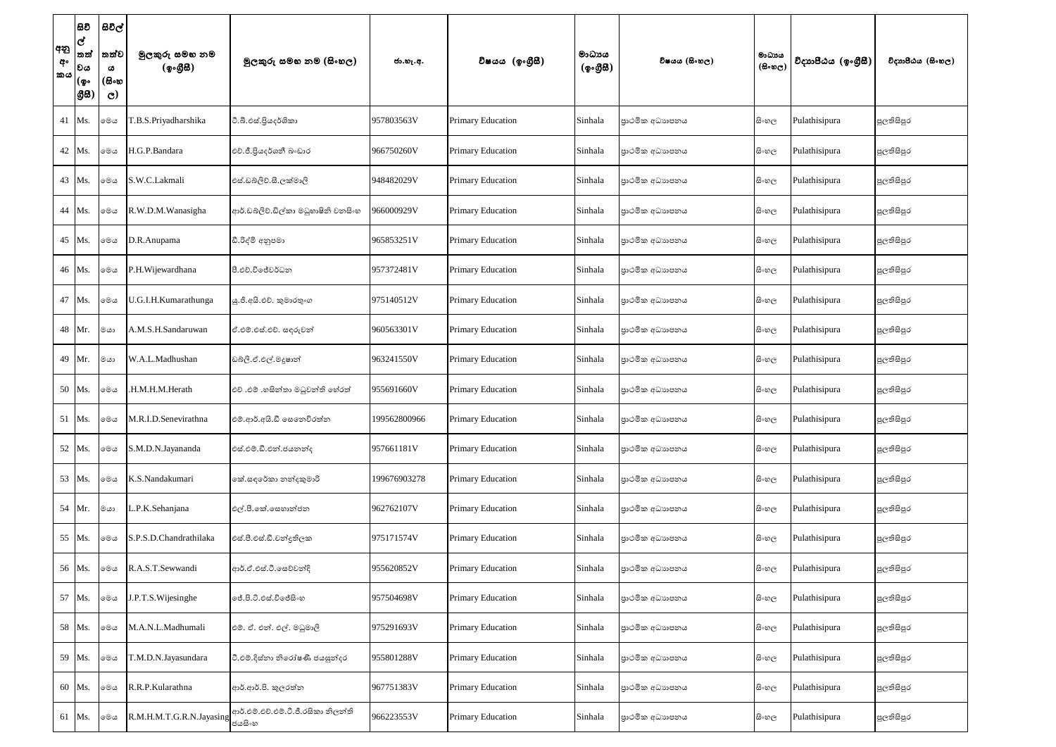| අනු<br>අං<br>කය | සිවි<br>ල්<br>තත්<br>වය<br>(စွ…<br> යුස | සිවිල්<br>තත්ව<br>ය<br>(සිංහ<br>$\mathbf{C}$ | මුලකුරු සමහ නම<br>(ඉංගීසී)           | මූලකුරු සමහ නම (සිංහල)              | ජා.හැ.අ.     | විෂයය (ඉංගීුසි)          | මාධාපය<br>(ඉංගුිසි) | විෂයය (සිංහල)  | මාධායය<br>$(B \circ \circledcirc_C)$ | විදාහපීඨය (ඉංගීසී) | විදාහපීඨය (සිංහල) |
|-----------------|-----------------------------------------|----------------------------------------------|--------------------------------------|-------------------------------------|--------------|--------------------------|---------------------|----------------|--------------------------------------|--------------------|-------------------|
|                 | 41 Ms.                                  | මෙය                                          | T.B.S.Priyadharshika                 | ටී.බී.එස්.පියදර්ශිකා                | 957803563V   | Primary Education        | Sinhala             | පාථමික අධාහපනය | සි∘හල                                | Pulathisipura      | පුලතිසිපුර        |
|                 | 42 Ms.                                  | මෙය                                          | H.G.P.Bandara                        | එච්.ජී.පියදර්ශනී බංඩාර              | 966750260V   | Primary Education        | Sinhala             | පාථමික අධාහපනය | සි∘හල                                | Pulathisipura      | පුලතිසිපුර        |
|                 | 43 Ms.                                  | මෙය                                          | S.W.C.Lakmali                        | එස්.ඩබ්ලිව්.සී.ලක්මාලි              | 948482029V   | Primary Education        | Sinhala             | පාථමික අධාහපනය | සි∘හල                                | Pulathisipura      | පුලතිසිපුර        |
|                 | 44 Ms.                                  | මෙය                                          | R.W.D.M.Wanasigha                    | ආර්.ඩබ්ලිව්.ඩිල්කා මධුහාෂිනි වනසිංහ | 966000929V   | <b>Primary Education</b> | Sinhala             | පාථමික අධාහපනය | සි∘හල                                | Pulathisipura      | පුලතිසිපුර        |
|                 | 45 Ms.                                  | මෙය                                          | D.R.Anupama                          | ඩී.රිද්මි අනුපමා                    | 965853251V   | <b>Primary Education</b> | Sinhala             | පාථමික අධාහපනය | සි∘හල                                | Pulathisipura      | පුලතිසිපුර        |
|                 | 46 Ms.                                  | මෙය                                          | P.H.Wijewardhana                     | පී.එච්.විජේවර්ධන                    | 957372481V   | <b>Primary Education</b> | Sinhala             | පාථමික අධාහපනය | සිංහල                                | Pulathisipura      | පුලතිසිපුර        |
|                 | 47 Ms.                                  | මෙය                                          | U.G.I.H.Kumarathunga                 | ශු.ජී.අයි.එච්. කුමාරතුංග            | 975140512V   | Primary Education        | Sinhala             | පාථමික අධාහපනය | සි∘හල                                | Pulathisipura      | පුලතිසිපුර        |
|                 | 48 Mr.                                  | $\circ$ യ                                    | A.M.S.H.Sandaruwan                   | ඒ.එම්.එස්.එච්. සඳුරුවන්             | 960563301V   | Primary Education        | Sinhala             | පාථමික අධාහපනය | සිංහල                                | Pulathisipura      | පුලතිසිපුර        |
|                 | 49 Mr.                                  | $\circ$ യ                                    | W.A.L.Madhushan                      | ඩබ්ලි.ඒ.එල්.මදූෂාන්                 | 963241550V   | <b>Primary Education</b> | Sinhala             | පාථමික අධාහපනය | සි∘හල                                | Pulathisipura      | පුලතිසිපුර        |
|                 | 50 Ms.                                  | මෙය                                          | .H.M.H.M.Herath                      | එච් .එම් .හසින්තා මධුවන්ති හේරත්    | 955691660V   | Primary Education        | Sinhala             | පාථමික අධාහපනය | සි∘හල                                | Pulathisipura      | පුලතිසිපුර        |
|                 | 51 Ms.                                  | මෙය                                          | M.R.I.D.Senevirathna                 | එම්.ආර්.අයි.ඩී සෙතෙවිරත්න           | 199562800966 | Primary Education        | Sinhala             | පාථමික අධාහපනය | සි∘හල                                | Pulathisipura      | පුලතිසිපුර        |
|                 | 52 Ms.                                  | මෙය                                          | S.M.D.N.Jayananda                    | එස්.එම්.ඩී.එන්.ජයනන්ද               | 957661181V   | Primary Education        | Sinhala             | පාථමික අධාහපනය | සිංහල                                | Pulathisipura      | පුලතිසිපුර        |
|                 | 53 Ms.                                  | මෙය                                          | K.S.Nandakumari                      | කේ.සඳරේකා නන්දකුමාරි                | 199676903278 | <b>Primary Education</b> | Sinhala             | පාථමික අධාහපනය | සි∘හල                                | Pulathisipura      | පුලතිසිපුර        |
|                 | 54 Mr.                                  | $\circ$ യ                                    | L.P.K.Sehanjana                      | එල්.පී.කේ.සෙහාන්ජන                  | 962762107V   | Primary Education        | Sinhala             | පාථමික අධාහපනය | සිංහල                                | Pulathisipura      | පුලතිසිපුර        |
|                 | 55 Ms.                                  | මෙය                                          | S.P.S.D.Chandrathilaka               | එස්.පී.එස්.ඩී.චන්දුතිලක             | 975171574V   | Primary Education        | Sinhala             | පාථමික අධාහපනය | සි∘හල                                | Pulathisipura      | පුලතිසිපුර        |
|                 | 56 Ms.                                  | මෙය                                          | R.A.S.T.Sewwandi                     | ආර්.ඒ.එස්.ටී.සෙව්වන්දි              | 955620852V   | <b>Primary Education</b> | Sinhala             | පාථමික අධාහපනය | සිංහල                                | Pulathisipura      | පුලතිසිපුර        |
|                 | 57 Ms.                                  | මෙය                                          | J.P.T.S. Wijesinghe                  | ලජ්.පි.ටී.එස්.විජේසිංහ              | 957504698V   | <b>Primary Education</b> | Sinhala             | පාථමික අධාහපනය | සි∘හල                                | Pulathisipura      | පුලතිසිපුර        |
|                 | 58 Ms.                                  | මෙය                                          | M.A.N.L.Madhumali                    | එම්. ඒ. එන්. එල්. මධුමාලි           | 975291693V   | <b>Primary Education</b> | Sinhala             | පාථමික අධාහපනය | සි∘හල                                | Pulathisipura      | පුලතිසිපුර        |
|                 | 59 Ms.                                  | මෙය                                          | T.M.D.N.Jayasundara                  | ටී.එම්.දිස්තා නිරෝෂණී ජයසූත්දර      | 955801288V   | Primary Education        | Sinhala             | පාථමික අධාහපනය | සිංහල                                | Pulathisipura      | පුලතිසිපුර        |
|                 | 60 Ms.                                  | මෙය                                          | R.R.P.Kularathna                     | ආර්.ආර්.පි. කුලරත්න                 | 967751383V   | Primary Education        | Sinhala             | පාථමික අධාහපනය | සි∘හල                                | Pulathisipura      | පුලතිසිපුර        |
|                 | 61 Ms.                                  | මෙය                                          | R.M.H.M.T.G.R.N.Jayasing<br>g3.88880 | ආර්.එම්.එච්.එම්.ටී.ජී.රසිකා නිලත්ති | 966223553V   | Primary Education        | Sinhala             | පාථමික අධාහපනය | සි∘හල                                | Pulathisipura      | පුලතිසිපුර        |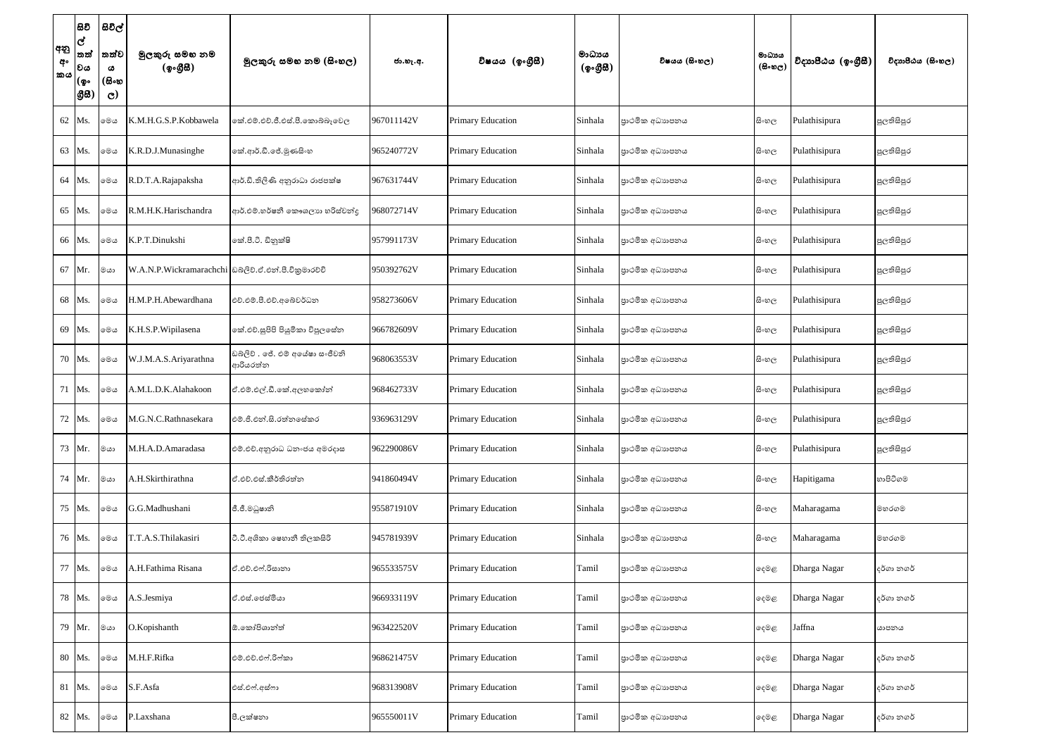| අනු<br>අං<br>කය | සිවි<br>$ \mathbf{c} $<br> තත්<br> වය<br> (စွ۰<br> යුස | සිවිල්<br>්තත්ව<br>ය<br>(සිංහ<br>$\mathbf{C}$ | මුලකුරු සමහ නම<br>(ඉංගීසී)                           | මූලකුරු සමහ නම (සිංහල)                      | ජා.හැ.අ.   | විෂයය (ඉංගුීසී)          | මාධායය<br>(ඉංගීසි) | විෂයය (සිංහල)  | මාධාය<br>$(B \circ \mathfrak{v}_C)$ | විදාහපීඨය (ඉංගීසී) | විදාහපීඨය (සිංහල) |
|-----------------|--------------------------------------------------------|-----------------------------------------------|------------------------------------------------------|---------------------------------------------|------------|--------------------------|--------------------|----------------|-------------------------------------|--------------------|-------------------|
|                 | 62 Ms.                                                 | මෙය                                           | K.M.H.G.S.P.Kobbawela                                | කේ.එම්.එච්.ජී.එස්.පී.කොබ්බෑවෙල              | 967011142V | <b>Primary Education</b> | Sinhala            | පාථමික අධාහපනය | සි∘හල                               | Pulathisipura      | පුලතිසිපුර        |
|                 | 63 Ms.                                                 | මෙය                                           | K.R.D.J.Munasinghe                                   | කේ.ආර්.ඩී.ජේ.මුණසිංහ                        | 965240772V | <b>Primary Education</b> | Sinhala            | පාථමික අධාහපනය | සි∘හල                               | Pulathisipura      | පුලතිසිපුර        |
|                 | 64 Ms.                                                 | මෙය                                           | R.D.T.A.Rajapaksha                                   | ආර්.ඩි.තිලිණි අනුරාධා රාජපක්ෂ               | 967631744V | <b>Primary Education</b> | Sinhala            | පාථමික අධාහපනය | සි∘හල                               | Pulathisipura      | පුලතිසිපුර        |
|                 | 65 Ms.                                                 | මෙය                                           | R.M.H.K.Harischandra                                 | ආර්.එම්.හර්ෂනී කෞශලාහ හරිස්චන්ද             | 968072714V | Primary Education        | Sinhala            | පාථමික අධාහපනය | සි∘හල                               | Pulathisipura      | පුලතිසිපුර        |
|                 | 66 Ms.                                                 | මෙය                                           | K.P.T.Dinukshi                                       | කේ.පී.ටී. ඩිනුක්ෂි                          | 957991173V | <b>Primary Education</b> | Sinhala            | පාථමික අධාහපනය | සි∘හල                               | Pulathisipura      | පුලතිසිපුර        |
|                 | 67 Mr.                                                 | මයා                                           | W.A.N.P.Wickramarachchi ඩබ්ලිව්.ඒ.එන්.පී.විකුමාරච්චි |                                             | 950392762V | <b>Primary Education</b> | Sinhala            | පාථමික අධාහපනය | සි∘හල                               | Pulathisipura      | පුලතිසිපුර        |
|                 | 68 Ms.                                                 | මෙය                                           | H.M.P.H.Abewardhana                                  | එච්.එම්.පී.එච්.අබේවර්ධන                     | 958273606V | Primary Education        | Sinhala            | පාථමික අධාහපනය | සි∘හල                               | Pulathisipura      | පුලතිසිපුර        |
|                 | 69 Ms.                                                 | මෙය                                           | K.H.S.P. Wipilasena                                  | කේ.එච්.සුපිපි පියුමිකා විපුලසේත             | 966782609V | <b>Primary Education</b> | Sinhala            | පාථමික අධාහපනය | සි∘හල                               | Pulathisipura      | පුලතිසිපුර        |
|                 | 70 Ms.                                                 | මෙය                                           | W.J.M.A.S.Ariyarathna                                | ඩබ්ලිව් . ජේ. එම් අයේෂා සංජීවනි<br>ආරියරත්න | 968063553V | <b>Primary Education</b> | Sinhala            | පාථමික අධාහපනය | සි∘හල                               | Pulathisipura      | පුලතිසිපුර        |
|                 | 71   Ms.                                               | මෙය                                           | A.M.L.D.K.Alahakoon                                  | ඒ.එම්.එල්.ඩී.කේ.අලහකෝන්                     | 968462733V | <b>Primary Education</b> | Sinhala            | පාථමික අධාහපනය | සි∘හල                               | Pulathisipura      | පුලතිසිපුර        |
|                 | 72 Ms.                                                 | මෙය                                           | M.G.N.C.Rathnasekara                                 | එම්.ජී.එන්.සි.රත්නසේකර                      | 936963129V | <b>Primary Education</b> | Sinhala            | පාථමික අධාහපනය | සි∘හල                               | Pulathisipura      | පුලතිසිපුර        |
|                 | 73 Mr.                                                 | මයා                                           | M.H.A.D.Amaradasa                                    | එම්.එච්.අනුරාධ ධනංජය අමරදාස                 | 962290086V | Primary Education        | Sinhala            | පාථමික අධාහපනය | සි∘හල                               | Pulathisipura      | පුලතිසිපුර        |
|                 | 74 Mr.                                                 | ගය                                            | A.H.Skirthirathna                                    | ඒ.එච්.එස්.කීර්තිරත්න                        | 941860494V | <b>Primary Education</b> | Sinhala            | පාථමික අධාහපනය | සි∘හල                               | Hapitigama         | හාපිටිගම          |
|                 | 75 Ms.                                                 | මෙය                                           | G.G.Madhushani                                       | ජී.ජී.මධුෂානි                               | 955871910V | Primary Education        | Sinhala            | පාථමික අධාහපනය | සිංහල                               | Maharagama         | මහරගම             |
|                 | 76 Ms.                                                 | මෙය                                           | T.T.A.S.Thilakasiri                                  | ටී.ටී.අශිකා ෂෙහානී තිලකසිරි                 | 945781939V | <b>Primary Education</b> | Sinhala            | පාථමික අධාහපනය | සි∘හල                               | Maharagama         | මහරගම             |
|                 | 77 Ms.                                                 | මෙය                                           | A.H.Fathima Risana                                   | ඒ.එච්.එෆ්.රිසානා                            | 965533575V | <b>Primary Education</b> | Tamil              | පාථමික අධාහපනය | දෙමළ                                | Dharga Nagar       | දර්ගා නගර්        |
|                 | 78 Ms.                                                 | මෙය                                           | A.S.Jesmiya                                          | ඒ.එස්.ජෙස්මියා                              | 966933119V | Primary Education        | Tamil              | පාථමික අධාහපනය | දෙමළ                                | Dharga Nagar       | දර්ගා නගර්        |
|                 | 79 Mr.                                                 | මයා                                           | O.Kopishanth                                         | ඕ.කෝපිශාන්ත්                                | 963422520V | <b>Primary Education</b> | Tamil              | පාථමික අධාහපනය | දෙමළ                                | Jaffna             | යාපනය             |
|                 | 80 Ms.                                                 | මෙය                                           | M.H.F.Rifka                                          | එම්.එච්.එෆ්.රිෆ්කා                          | 968621475V | <b>Primary Education</b> | Tamil              | පාථමික අධාහපනය | දෙමළ                                | Dharga Nagar       | දර්ගා නගර්        |
|                 | 81 Ms.                                                 | මෙය                                           | S.F.Asfa                                             | එස්.එෆ්.අස්ෆා                               | 968313908V | <b>Primary Education</b> | Tamil              | පාථමික අධාහපනය | දෙමළ                                | Dharga Nagar       | දර්ගා නගර්        |
|                 | 82 Ms.                                                 | මෙය                                           | P.Laxshana                                           | පී.ලක්ෂනා                                   | 965550011V | Primary Education        | Tamil              | පාථමික අධාහපනය | දෙමළ                                | Dharga Nagar       | දර්ගා නගර්        |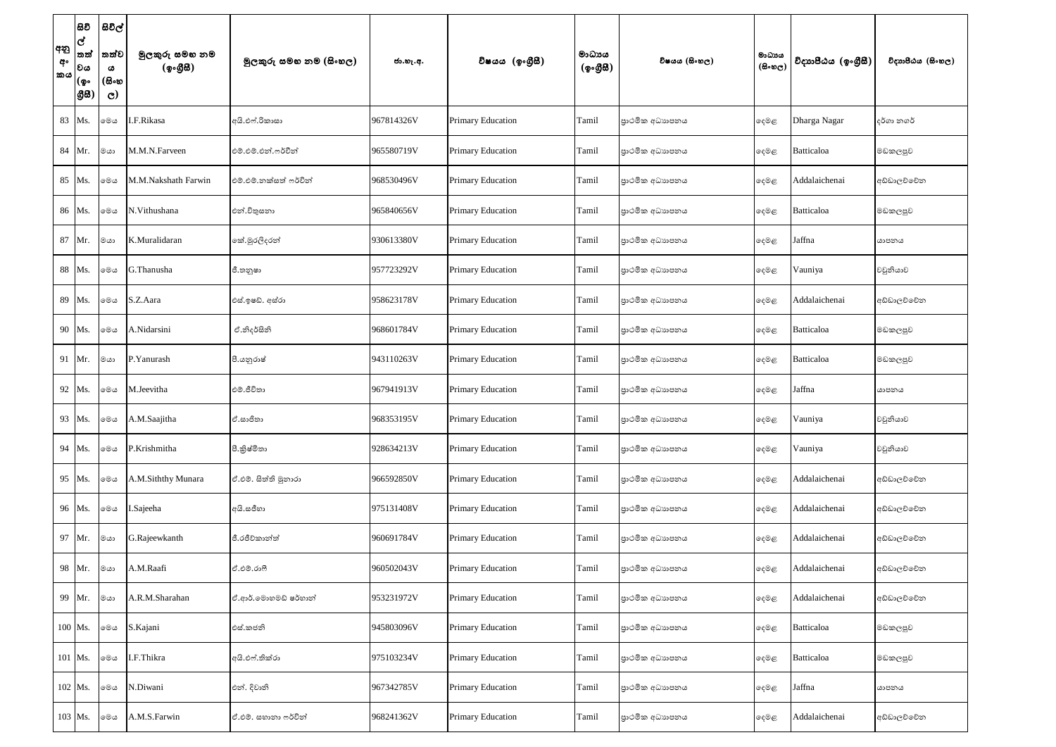| අනු<br>අං<br>කය | සිවි<br>lේ<br>තත්<br>౹లౚ<br> (စွ•<br> යුස | සිවිල් '<br>තත්ව<br>ය<br>(සිංහ<br>$\mathbf{C}$ | මුලකුරු සමහ නම<br>(ඉංගීසී) | මූලකුරු සමහ නම (සිංහල) | ජා.හැ.අ.   | විෂයය (ඉංගුිසි)          | මාධායය<br>$(\phi \circ \mathcal{B} \mathcal{B})$ | විෂයය (සිංහල)   | මාධායය<br>$(B \circ \circledcirc_C)$ | විදාහපීඨය (ඉංගීසී) | විදාහපීඨය (සිංහල) |
|-----------------|-------------------------------------------|------------------------------------------------|----------------------------|------------------------|------------|--------------------------|--------------------------------------------------|-----------------|--------------------------------------|--------------------|-------------------|
|                 | 83 Ms.                                    | මෙය                                            | I.F.Rikasa                 | අයි.එෆ්.රිකාසා         | 967814326V | Primary Education        | Tamil                                            | පාථමික අධාහපනය  | දෙමළ                                 | Dharga Nagar       | දර්ගා නගර්        |
|                 | 84 Mr.                                    | ගය                                             | M.M.N.Farveen              | එම්.එම්.එන්.ෆර්වීන්    | 965580719V | Primary Education        | Tamil                                            | පාථමික අධාහපනය  | ඈමළ                                  | Batticaloa         | මඩකලපුව           |
|                 | 85 Ms.                                    | මෙය                                            | M.M.Nakshath Farwin        | එම්.එම්.නක්සත් ෆර්වින් | 968530496V | Primary Education        | Tamil                                            | පාථමික අධාහපනය  | ඈමළ                                  | Addalaichenai      | අඩ්ඩාලච්චේන       |
|                 | 86 Ms.                                    | මෙය                                            | N.Vithushana               | එන්.විතුසනා            | 965840656V | Primary Education        | Tamil                                            | පාථමික අධාහපනය  | දෙමළ                                 | Batticaloa         | මඩකලපුව           |
|                 | 87 Mr.                                    | මයා                                            | K.Muralidaran              | කේ.මුරලිදරන්           | 930613380V | <b>Primary Education</b> | Tamil                                            | පාථමික අධාහපනය  | දෙමළ                                 | Jaffna             | යාපනය             |
|                 | 88 Ms.                                    | මෙය                                            | G.Thanusha                 | ජී.තනූෂා               | 957723292V | Primary Education        | Tamil                                            | පුාථමික අධාහපනය | දෙමළ                                 | Vauniya            | වවුනියාව          |
|                 | 89 Ms.                                    | මෙය                                            | S.Z.Aara                   | එස්.ඉෂඩ්. අස්රා        | 958623178V | Primary Education        | Tamil                                            | පුාථමික අධාහපනය | ඈමළ                                  | Addalaichenai      | අඩ්ඩාලව්වේන       |
|                 | 90 Ms.                                    | මෙය                                            | A.Nidarsini                | ඒ.නිදර්සිනි            | 968601784V | Primary Education        | Tamil                                            | පුාථමික අධාහපනය | දෙමළ                                 | Batticaloa         | මඩකලපුව           |
|                 | 91   Mr.                                  | ගය                                             | P.Yanurash                 | පී.යනුරාෂ්             | 943110263V | Primary Education        | Tamil                                            | පාථමික අධාහපනය  | දෙමළ                                 | Batticaloa         | මඩකලපුව           |
|                 | 92   Ms.                                  | මෙය                                            | M.Jeevitha                 | එම්.ජීවිතා             | 967941913V | <b>Primary Education</b> | Tamil                                            | පුාථමික අධාහපනය | දෙමළ                                 | Jaffna             | යාපනය             |
|                 | 93 Ms.                                    | මෙය                                            | A.M.Saajitha               | ඒ.සාජිතා               | 968353195V | Primary Education        | Tamil                                            | පාථමික අධාහපනය  | ෧෫෧෫                                 | Vauniya            | වවුනියාව          |
|                 | 94 Ms.                                    | මෙය                                            | P.Krishmitha               | පී.කුිෂ්මිතා           | 928634213V | Primary Education        | Tamil                                            | පුාථමික අධාහපනය | ඈමළ                                  | Vauniya            | වවුනියාව          |
|                 | 95 Ms.                                    | මෙය                                            | A.M.Siththy Munara         | ඒ.එම්. සිත්ති මුනාරා   | 966592850V | Primary Education        | Tamil                                            | පාථමික අධාහපනය  | දෙමළ                                 | Addalaichenai      | අඩ්ඩාලව්වේන       |
|                 | 96 Ms.                                    | මෙය                                            | I.Sajeeha                  | අයි.සජීහා              | 975131408V | Primary Education        | Tamil                                            | පාථමික අධාහපනය  | දෙමළ                                 | Addalaichenai      | අඩ්ඩාලච්චේන       |
|                 | 97 Mr.                                    | ගය                                             | G.Rajeewkanth              | ජී.රජීවිකාන්ත්         | 960691784V | <b>Primary Education</b> | Tamil                                            | පුාථමික අධාහපනය | ඈමළ                                  | Addalaichenai      | අඩ්ඩාලච්චේන       |
|                 | 98 Mr.                                    | $\circ$ යා                                     | A.M.Raafi                  | ඒ.එම්.රාෆී             | 960502043V | Primary Education        | Tamil                                            | පුාථමික අධාහපනය | ඈමළ                                  | Addalaichenai      | අඩ්ඩාලච්චේන       |
|                 | 99 Mr.                                    | මයා                                            | A.R.M.Sharahan             | ඒ.ආර්.මොහමඩ් ෂර්හාන්   | 953231972V | <b>Primary Education</b> | Tamil                                            | පුාථමික අධාහපනය | ලදම <i>ළ</i>                         | Addalaichenai      | අඩ්ඩාලච්චේන       |
|                 | 100 Ms.                                   | මෙය                                            | S.Kajani                   | එස්.කජනි               | 945803096V | Primary Education        | Tamil                                            | පාථමික අධාහපනය  | දෙමළ                                 | Batticaloa         | මඩකලපුව           |
|                 | 101 Ms.                                   | මෙය                                            | I.F.Thikra                 | අයි.එෆ්.තික්රා         | 975103234V | Primary Education        | Tamil                                            | පාථමික අධාහපනය  | දෙමළ                                 | Batticaloa         | මඩකලපුව           |
|                 | 102 Ms.                                   | මෙය                                            | V.Diwani                   | එන්. දිවානි            | 967342785V | Primary Education        | Tamil                                            | පුාථමික අධාහපනය | ඈමළ                                  | Jaffna             | යාපනය             |
|                 | 103 Ms.                                   | මෙය                                            | A.M.S.Farwin               | ඒ.එම්. සහානා ෆර්වින්   | 968241362V | Primary Education        | Tamil                                            | පාථමික අධාහපනය  | ඈමළ                                  | Addalaichenai      | අඩ්ඩාලච්චේන       |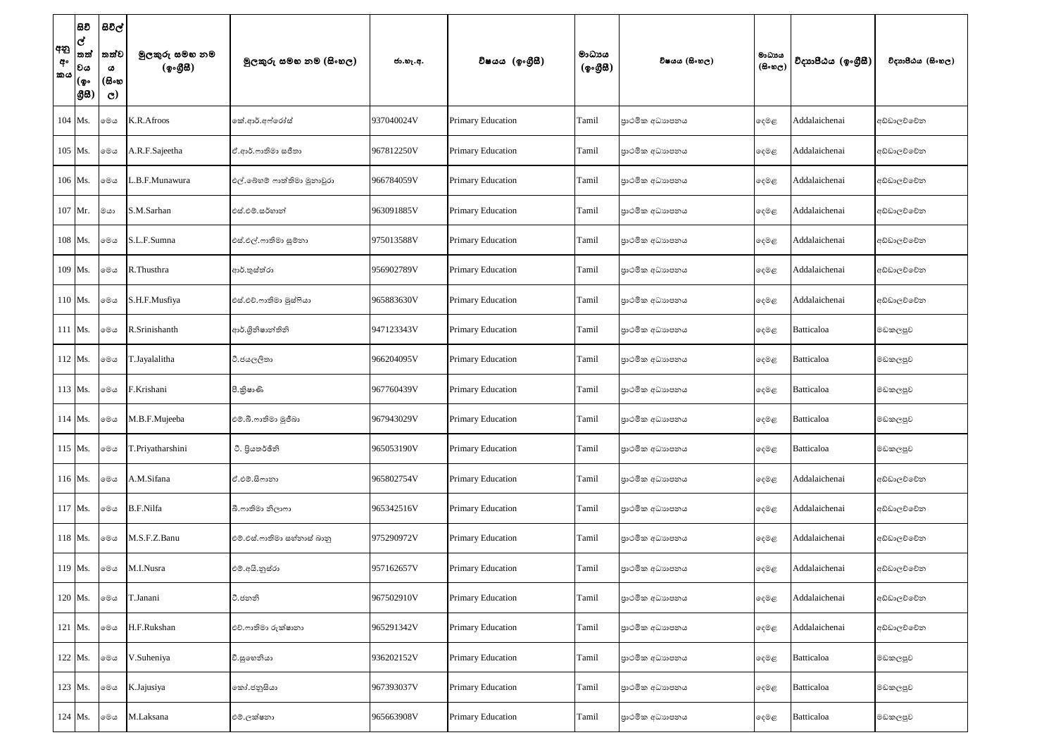| අනු<br>අං<br>කය | සිවි<br>lේ<br>තත්<br>౹లౚ<br> (စွ•<br> යුස | සිවිල්<br>තත්ව<br>ය<br>(සිංහ<br>$\mathbf{C}$ | මුලකුරු සමහ නම<br>(ඉංගීසී) | මූලකුරු සමහ නම (සිංහල)      | ජා.හැ.අ.   | විෂයය (ඉංගුිසි)          | මාධායය<br>$(\phi \circ \mathcal{B} \mathcal{B})$ | විෂයය (සිංහල)   | මාධායය<br>$(B \circ \circledcirc_C)$ | විදාහපීඨය (ඉංගීසී) | විදාහපීඨය (සිංහල) |
|-----------------|-------------------------------------------|----------------------------------------------|----------------------------|-----------------------------|------------|--------------------------|--------------------------------------------------|-----------------|--------------------------------------|--------------------|-------------------|
|                 | 104 Ms.                                   | මෙය                                          | K.R.Afroos                 | කේ.ආර්.අෆ්රෝස්              | 937040024V | Primary Education        | Tamil                                            | පාථමික අධාහපනය  | ඈමළ                                  | Addalaichenai      | අඩ්ඩාලච්චේන       |
|                 | 105 Ms.                                   | මෙය                                          | A.R.F.Sajeetha             | ඒ.ආර්.ෆාතිමා සජීතා          | 967812250V | <b>Primary Education</b> | Tamil                                            | පාථමික අධාහපනය  | ලදම <i>ළ</i>                         | Addalaichenai      | අඩ්ඩාලව්වේන       |
|                 | 106 Ms.                                   | මෙය                                          | L.B.F.Munawura             | එල්.බේහම් ෆාත්තිමා මුනාවූරා | 966784059V | Primary Education        | Tamil                                            | පාථමික අධාහපනය  | දෙමළ                                 | Addalaichenai      | අඩ්ඩාලච්චේන       |
|                 | 107 Mr.                                   | මයා                                          | S.M.Sarhan                 | එස්.එම්.සර්හාන්             | 963091885V | Primary Education        | Tamil                                            | පාථමික අධාහපනය  | දෙමළ                                 | Addalaichenai      | අඩ්ඩාලව්වේන       |
|                 | 108 Ms.                                   | මෙය                                          | S.L.F.Sumna                | එස්.එල්.ෆාතිමා සුම්නා       | 975013588V | <b>Primary Education</b> | Tamil                                            | පාථමික අධාහපනය  | දෙමළ                                 | Addalaichenai      | අඩ්ඩාලව්වේන       |
|                 | 109 Ms.                                   | මෙය                                          | R.Thusthra                 | ආර්.තුස්ත්රා                | 956902789V | <b>Primary Education</b> | Tamil                                            | පුාථමික අධාහපනය | දෙමළ                                 | Addalaichenai      | අඩ්ඩාලච්චේන       |
|                 | 110 Ms.                                   | මෙය                                          | S.H.F.Musfiya              | එස්.එච්.ෆාතිමා මුස්ෆියා     | 965883630V | <b>Primary Education</b> | Tamil                                            | පාථමික අධාහපනය  | ඈමළ                                  | Addalaichenai      | අඩ්ඩාලව්වේන       |
|                 | 111 Ms.                                   | මෙය                                          | R.Srinishanth              | ආර්.ශූිනිෂාන්තිනි           | 947123343V | Primary Education        | Tamil                                            | පුාථමික අධාහපනය | දෙමළ                                 | Batticaloa         | මඩකලපුව           |
|                 | 112 Ms.                                   | මෙය                                          | T.Jayalalitha              | ටී.ජයලලිතා                  | 966204095V | Primary Education        | Tamil                                            | පාථමික අධාහපනය  | දෙමළ                                 | Batticaloa         | මඩකලපුව           |
|                 | 113 Ms.                                   | මෙය                                          | F.Krishani                 | පී.කුිෂාණි                  | 967760439V | <b>Primary Education</b> | Tamil                                            | පුාථමික අධාහපනය | දෙමළ                                 | Batticaloa         | මඩකලපුව           |
|                 | 114 Ms.                                   | මෙය                                          | M.B.F.Mujeeba              | එම්.බී.ෆාතිමා මූජීබා        | 967943029V | Primary Education        | Tamil                                            | පාථමික අධාහපනය  | ෧෫෧෫                                 | <b>Batticaloa</b>  | මඩකලපුව           |
|                 | 115 Ms.                                   | මෙය                                          | T.Priyatharshini           | ටී. පියතර්ඡිනි              | 965053190V | <b>Primary Education</b> | Tamil                                            | පුාථමික අධාහපනය | ඈමළ                                  | Batticaloa         | මඩකලපුව           |
|                 | 116 Ms.                                   | මෙය                                          | A.M.Sifana                 | ඒ.එම්.සිෆානා                | 965802754V | Primary Education        | Tamil                                            | පාථමික අධාහපනය  | දෙමළ                                 | Addalaichenai      | අඩ්ඩාලච්චේන       |
|                 | 117 Ms.                                   | මෙය                                          | <b>B.F.Nilfa</b>           | බී.ෆාතිමා නිලාෆා            | 965342516V | Primary Education        | Tamil                                            | පාථමික අධාහපනය  | දෙමළ                                 | Addalaichenai      | අඩ්ඩාලච්චේන       |
|                 | 118 Ms.                                   | මෙය                                          | M.S.F.Z.Banu               | එම්.එස්.ෆාතිමා සහ්තාස් බාතු | 975290972V | <b>Primary Education</b> | Tamil                                            | පුාථමික අධාහපනය | ඈමළ                                  | Addalaichenai      | අඩ්ඩාලච්චේන       |
|                 | 119 Ms.                                   | මෙය                                          | M.I.Nusra                  | එම්.අයි.නුස්රා              | 957162657V | Primary Education        | Tamil                                            | පාථමික අධාහපනය  | ඈමළ                                  | Addalaichenai      | අඩ්ඩාලච්චේන       |
|                 | 120 Ms.                                   | මෙය                                          | T.Janani                   | ටී.ජනනි                     | 967502910V | <b>Primary Education</b> | Tamil                                            | පුාථමික අධාහපනය | ලදම <i>ළ</i>                         | Addalaichenai      | අඩ්ඩාලව්වේන       |
|                 | 121 Ms.                                   | මෙය                                          | H.F.Rukshan                | එච්.ෆාතිමා රුක්ෂානා         | 965291342V | Primary Education        | Tamil                                            | පාථමික අධාහපනය  | දෙමළ                                 | Addalaichenai      | අඩ්ඩාලච්චේන       |
|                 | 122 Ms.                                   | මෙය                                          | V.Suheniya                 | වී.සුභෙනියා                 | 936202152V | Primary Education        | Tamil                                            | පාථමික අධාහපනය  | දෙමළ                                 | Batticaloa         | මඩකලපුව           |
|                 | 123 Ms.                                   | මෙය                                          | K.Jajusiya                 | කෝ.ජනුසියා                  | 967393037V | Primary Education        | Tamil                                            | පුාථමික අධාහපනය | ඈමළ                                  | Batticaloa         | මඩකලපුව           |
|                 | 124 Ms.                                   | මෙය                                          | M.Laksana                  | එම්.ලක්ෂනා                  | 965663908V | Primary Education        | Tamil                                            | පුාථමික අධාහපනය | දෙමළ                                 | Batticaloa         | මඩකලපුව           |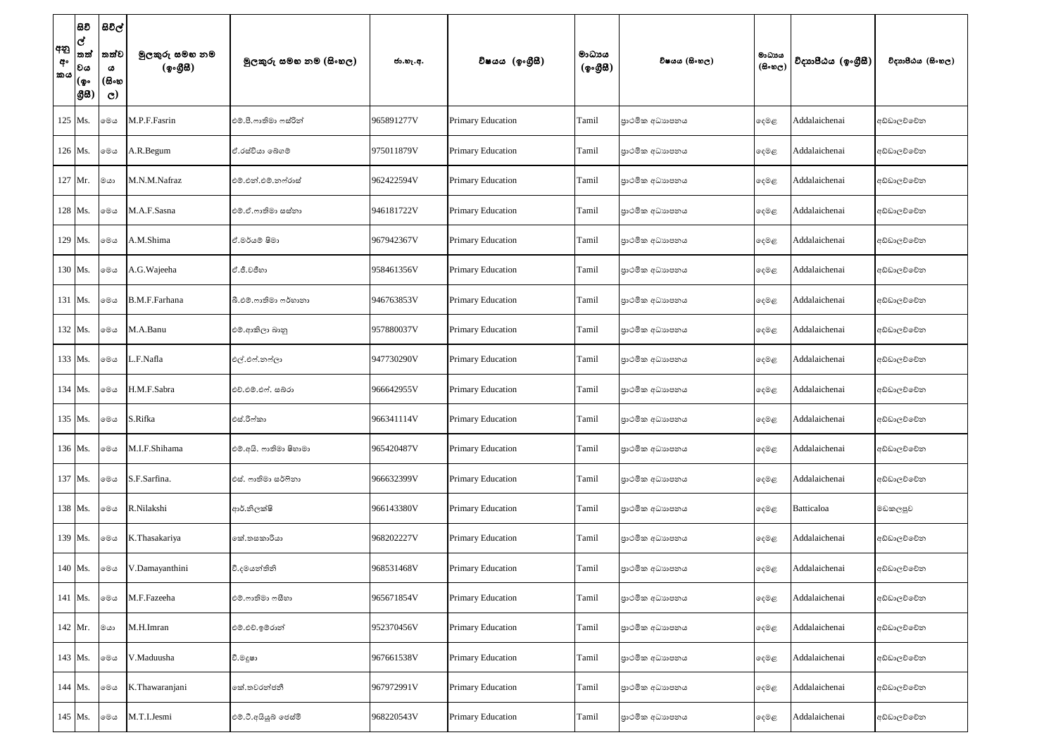| අනු<br>අං<br><b>්කය</b> | සිවි<br>$\overline{\mathbf{c}}$<br> තත්<br> වය<br> (စွ۰<br> යුස | සිවිල්<br>තත්ව<br>ය<br>(සිංහ<br>$\mathbf{C}$ | මුලකුරු සමහ නම<br>(ඉංගීසී) | මූලකුරු සමහ නම (සිංහල) | ජා.හැ.අ.   | විෂයය (ඉංගුිසි)          | මාධායය<br>(ඉංගීසී) | විෂයය (සිංහල)   | මාධායය<br>$(B \circ \omega_C)$ | විදාහපීඨය (ඉංගීසී) | විදාහපීඨය (සිංහල) |
|-------------------------|-----------------------------------------------------------------|----------------------------------------------|----------------------------|------------------------|------------|--------------------------|--------------------|-----------------|--------------------------------|--------------------|-------------------|
|                         | 125 Ms.                                                         | මෙය                                          | M.P.F.Fasrin               | එම්.පී.ෆාතිමා ෆස්රින්  | 965891277V | <b>Primary Education</b> | Tamil              | පාථමික අධාහපනය  | ඈමළ                            | Addalaichenai      | අඩ්ඩාලච්චේන       |
|                         | 126 Ms.                                                         | මෙය                                          | A.R.Begum                  | ඒ.රස්වියා බෙගම්        | 975011879V | Primary Education        | Tamil              | පාථමික අධාහපනය  | දෙමළ                           | Addalaichenai      | අඩ්ඩාලව්වේන       |
|                         | 127 Mr.                                                         | මයා                                          | M.N.M.Nafraz               | එම්.එන්.එම්.නෆ්රාස්    | 962422594V | <b>Primary Education</b> | Tamil              | පාථමික අධාහපනය  | ඈමළ                            | Addalaichenai      | අඩ්ඩාලව්වේන       |
|                         | 128 Ms.                                                         | මෙය                                          | M.A.F.Sasna                | එම්.ඒ.ෆාතිමා සස්තා     | 946181722V | <b>Primary Education</b> | Tamil              | පාථමික අධාහපනය  | දෙමළ                           | Addalaichenai      | අඩ්ඩාලච්චේන       |
|                         | 129 Ms.                                                         | මෙල                                          | A.M.Shima                  | ඒ.මර්යම් ෂිමා          | 967942367V | <b>Primary Education</b> | Tamil              | පාථමික අධාහපනය  | ඈමළ                            | Addalaichenai      | අඩ්ඩාලච්චේන       |
|                         | 130 Ms.                                                         | මෙල                                          | A.G. Wajeeha               | ඒ.ජී.වජීනා             | 958461356V | <b>Primary Education</b> | Tamil              | පාථමික අධාහපනය  | දෙමළ                           | Addalaichenai      | අඩ්ඩාලච්චේන       |
|                         | 131 Ms.                                                         | මෙය                                          | B.M.F.Farhana              | බී.එම්.ෆාතිමා ෆර්හානා  | 946763853V | Primary Education        | Tamil              | පාථමික අධාහපනය  | ඈමළ                            | Addalaichenai      | අඩ්ඩාලව්වේන       |
|                         | 132 Ms.                                                         | මෙය                                          | M.A.Banu                   | එම්.ආකිලා බානු         | 957880037V | <b>Primary Education</b> | Tamil              | පාථමික අධාහපනය  | දෙමළ                           | Addalaichenai      | අඩ්ඩාලච්චේන       |
|                         | 133 Ms.                                                         | මෙය                                          | L.F.Nafla                  | එල්.එෆ්.නෆ්ලා          | 947730290V | <b>Primary Education</b> | Tamil              | පාථමික අධාහපනය  | දෙමළ                           | Addalaichenai      | අඩ්ඩාලව්වේන       |
|                         | 134 Ms.                                                         | මෙය                                          | H.M.F.Sabra                | එච්.එම්.එෆ්. සබ්රා     | 966642955V | <b>Primary Education</b> | Tamil              | පාථමික අධාහපනය  | දෙමළ                           | Addalaichenai      | අඩ්ඩාලව්වේන       |
|                         | 135 Ms.                                                         | මෙය                                          | S.Rifka                    | එස්.රිෆ්කා             | 966341114V | <b>Primary Education</b> | Tamil              | පාථමික අධාහපනය  | ෫෧෫                            | Addalaichenai      | අඩ්ඩාලච්චේන       |
|                         | 136 Ms.                                                         | මෙය                                          | M.I.F.Shihama              | එම්.අයි. ෆාතිමා ෂිහාමා | 965420487V | Primary Education        | Tamil              | පාථමික අධාහපනය  | ඈමළ                            | Addalaichenai      | අඩ්ඩාලච්චේන       |
|                         | 137 Ms.                                                         | ාමග                                          | S.F.Sarfina.               | එස්. ෆාතිමා සර්ෆිනා    | 966632399V | <b>Primary Education</b> | Tamil              | පාථමික අධාහපනය  | දෙමළ                           | Addalaichenai      | අඩ්ඩාලව්වේන       |
|                         | 138 Ms.                                                         | මෙය                                          | R.Nilakshi                 | ආර්.නිලක්ෂි            | 966143380V | <b>Primary Education</b> | Tamil              | පාථමික අධාහපනය  | දෙමළ                           | Batticaloa         | මඩකලපුව           |
|                         | 139 Ms.                                                         | ාමග                                          | K.Thasakariya              | කේ.තසකාරියා            | 968202227V | <b>Primary Education</b> | Tamil              | පාථමික අධාහපනය  | දෙමළ                           | Addalaichenai      | අඩ්ඩාලච්චේන       |
|                         | 140 Ms.                                                         | මෙය                                          | V.Damayanthini             | වී.දමයන්තිනි           | 968531468V | <b>Primary Education</b> | Tamil              | පාථමික අධාහපනය  | දෙමළ                           | Addalaichenai      | අඩ්ඩාලච්චේන       |
|                         | 141 Ms.                                                         | ාමග                                          | M.F.Fazeeha                | එම්.ෆාතිමා ෆසීහා       | 965671854V | Primary Education        | Tamil              | පාථමික අධාහපනය  | දෙමළ                           | Addalaichenai      | අඩ්ඩාලච්චේන       |
|                         | $142$ Mr.                                                       | මයා                                          | M.H.Imran                  | එම්.එච්.ඉම්රාන්        | 952370456V | <b>Primary Education</b> | Tamil              | පාථමික අධාහපනය  | දෙමළ                           | Addalaichenai      | අඩ්ඩාලව්වේන       |
|                         | 143 Ms.                                                         | මෙය                                          | V.Maduusha                 | වී.මදූෂා               | 967661538V | Primary Education        | Tamil              | පාථමික අධාහපනය  | දෙමළ                           | Addalaichenai      | අඩ්ඩාලච්චේන       |
|                         | 144 Ms.                                                         | ාම                                           | K.Thawaranjani             | කේ.තවරන්ජනී            | 967972991V | Primary Education        | Tamil              | පාථමික අධාහපනය  | දෙමළ                           | Addalaichenai      | අඩ්ඩාලච්චේන       |
|                         | 145 Ms.                                                         | මෙය                                          | M.T.I.Jesmi                | එම්.ටී.අයියූබ් ජෙස්මි  | 968220543V | <b>Primary Education</b> | Tamil              | පුාථමික අධාහපනය | ෫෧෫                            | Addalaichenai      | අඩ්ඩාලච්චේන       |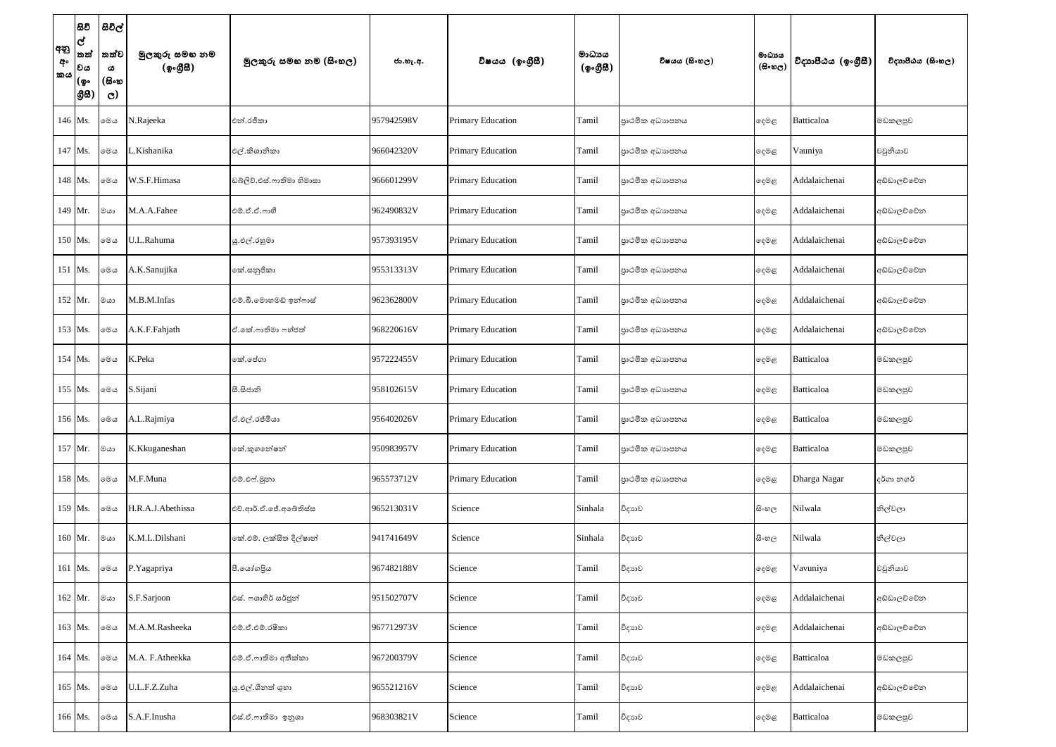| අනු<br>අං<br><b>කය</b> | සිවි<br>$\overline{\mathbf{c}}$<br> තත්<br>වය<br> (စွ∘<br> යුස | සිවිල්<br>තත්ව<br>ය<br>(සිංහ<br>$\mathbf{C}$ | මුලකුරු සමහ නම<br>(ඉංගීසී) | මූලකුරු සමහ නම (සිංහල)    | ජා.හැ.අ.   | විෂයය (ඉංගුීසී)          | මාධායය<br>(ඉංගීසි) | විෂයය (සිංහල)   | මාධායය<br>$(B \circ \circledcirc_C)$ | විදාහපීඨය (ඉංගීසී) | විදාහපීඨය (සිංහල) |
|------------------------|----------------------------------------------------------------|----------------------------------------------|----------------------------|---------------------------|------------|--------------------------|--------------------|-----------------|--------------------------------------|--------------------|-------------------|
|                        | 146 Ms.                                                        | මෙය                                          | N.Rajeeka                  | එන්.රජීකා                 | 957942598V | <b>Primary Education</b> | Tamil              | පාථමික අධාහපනය  | දෙමළ                                 | Batticaloa         | මඩකලපුව           |
|                        | 147 Ms.                                                        | මෙය                                          | .Kishanika                 | එල්.කිශානිකා              | 966042320V | Primary Education        | Tamil              | පාථමික අධාහපනය  | දෙමළ                                 | Vauniya            | වවුනියාව          |
|                        | 148 Ms.                                                        | මෙය                                          | W.S.F.Himasa               | ඩබ්ලිව්.එස්.ෆාතිමා හිමාසා | 966601299V | <b>Primary Education</b> | Tamil              | පුාථමික අධාහපනය | ඈමළ                                  | Addalaichenai      | අඩ්ඩාලච්චේන       |
|                        | 149 Mr.                                                        | මයා                                          | M.A.A.Fahee                | එම්.ඒ.ඒ.ෆාහී              | 962490832V | Primary Education        | Tamil              | පාථමික අධාහපනය  | දෙමළ                                 | Addalaichenai      | අඩ්ඩාලච්චේන       |
|                        | 150 Ms.                                                        | මෙය                                          | U.L.Rahuma                 | යූ.එල්.රහුමා              | 957393195V | <b>Primary Education</b> | Tamil              | පාථමික අධාහපනය  | දෙමළ                                 | Addalaichenai      | අඩ්ඩාලව්වේන       |
|                        | 151 Ms.                                                        | මෙය                                          | A.K.Sanujika               | කේ.සනුජිකා                | 955313313V | Primary Education        | Tamil              | පාථමික අධාහපනය  | දෙමළ                                 | Addalaichenai      | අඩ්ඩාලච්චේන       |
|                        | 152 Mr.                                                        | මයා                                          | M.B.M.Infas                | එම්.බී.මොහමඩ් ඉන්ෆාස්     | 962362800V | <b>Primary Education</b> | Tamil              | පාථමික අධාහපනය  | දෙමළ                                 | Addalaichenai      | අඩ්ඩාලව්වේන       |
|                        | 153 Ms.                                                        | මෙය                                          | A.K.F.Fahjath              | ඒ.කේ.ෆාතිමා ෆහ්ජත්        | 968220616V | <b>Primary Education</b> | Tamil              | පාථමික අධාහපනය  | දෙමළ                                 | Addalaichenai      | අඩ්ඩාලච්චේන       |
|                        | 154 Ms.                                                        | ාමග                                          | K.Peka                     | කේ.පේගා                   | 957222455V | <b>Primary Education</b> | Tamil              | පාථමික අධාහපනය  | දෙමළ                                 | <b>Batticaloa</b>  | මඩකලපුව           |
|                        | 155 Ms.                                                        | මෙය                                          | S.Sijani                   | සී.සිජානි                 | 958102615V | <b>Primary Education</b> | Tamil              | පාථමික අධාහපනය  | දෙමළ                                 | <b>Batticaloa</b>  | මඩකලපුව           |
|                        | 156 Ms.                                                        | මෙය                                          | A.L.Rajmiya                | ඒ.එල්.රජ්මියා             | 956402026V | <b>Primary Education</b> | Tamil              | පාථමික අධාහපනය  | ෫෧෫                                  | <b>Batticaloa</b>  | මඩකලපුව           |
|                        | 157 Mr.                                                        | $\circ$ යා                                   | K.Kkuganeshan              | කේ.කුගතේෂන්               | 950983957V | Primary Education        | Tamil              | පාථමික අධාහපනය  | දෙමළ                                 | Batticaloa         | මඩකලපුව           |
|                        | 158 Ms.                                                        | මෙය                                          | M.F.Muna                   | එම්.එෆ්.මූනා              | 965573712V | <b>Primary Education</b> | Tamil              | පාථමික අධාහපනය  | දෙමළ                                 | Dharga Nagar       | දර්ගා නගර්        |
|                        | 159 Ms.                                                        | මෙය                                          | H.R.A.J.Abethissa          | එච්.ආර්.ඒ.ජේ.අබේතිස්ස     | 965213031V | Science                  | Sinhala            | විදාහව          | සි∘හල                                | Nilwala            | නිල්වලා           |
|                        | 160 Mr.                                                        | ගග                                           | K.M.L.Dilshani             | කේ.එම්. ලක්සිත දිල්ෂාන්   | 941741649V | Science                  | Sinhala            | විදාහව          | සි∘හල                                | Nilwala            | නිල්වලා           |
|                        | 161 Ms.                                                        | මෙය                                          | P.Yagapriya                | පී.යෝගපිය                 | 967482188V | Science                  | Tamil              | විදාහව          | දෙමළ                                 | Vavuniya           | වවුනියාව          |
|                        | 162 Mr.                                                        | $\circ$ යා                                   | S.F.Sarjoon                | එස්. ෆශාහිර් සර්ජූන්      | 951502707V | Science                  | Tamil              | විදාහව          | දෙමළ                                 | Addalaichenai      | අඩ්ඩාලව්වේන       |
|                        | 163 Ms.                                                        | මෙය                                          | M.A.M.Rasheeka             | එම්.ඒ.එම්.රෂීකා           | 967712973V | Science                  | Tamil              | විදාහව          | දෙමළ                                 | Addalaichenai      | අඩ්ඩාලච්චේන       |
|                        | 164 Ms.                                                        | මෙය                                          | M.A. F.Atheekka            | එම්.ඒ.ෆාතිමා අතීක්කා      | 967200379V | Science                  | Tamil              | විදාහව          | දෙමළ                                 | Batticaloa         | මඩකලපුව           |
|                        | 165 Ms.                                                        | මෙය                                          | U.L.F.Z.Zuha               | යූ.එල්.ශීනත් ශුහා         | 965521216V | Science                  | Tamil              | විදාහව          | දෙමළ                                 | Addalaichenai      | අඩ්ඩාලච්චේන       |
|                        | 166 Ms.                                                        | මෙය                                          | S.A.F.Inusha               | එස්.ඒ.ෆාතිමා ඉනුශා        | 968303821V | Science                  | Tamil              | විදාහව          | දෙමළ                                 | Batticaloa         | මඩකලපුව           |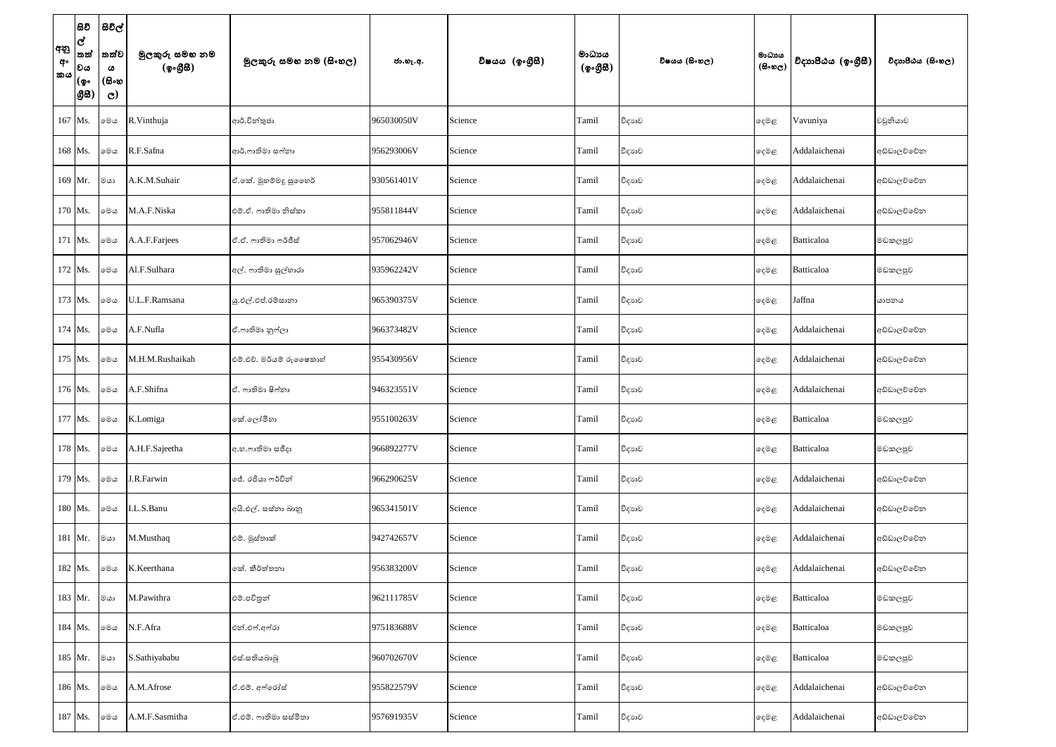| අනු<br>අං<br><b>කය</b> | සිවි<br>ල්<br>තත්<br>වය<br>(စွ…<br> යුස) | සිවිල්<br>තත්ව<br>ය<br>(සිංහ<br>$\mathbf{C}$ | මුලකුරු සමහ නම<br>(ඉංගීසී) | මූලකුරු සමහ නම (සිංහල)    | ජා.හැ.අ.   | විෂයය (ඉංගුීසි) | මාධායය<br>$({\cal Q} \circ \mathcal{B} \mathcal{B})$ | විෂයය (සිංහල) | මාධායය<br>$(B \circ \omega_C)$ | විදාහපීඨය (ඉංගීසී) | විදාහපීඨය (සිංහල) |
|------------------------|------------------------------------------|----------------------------------------------|----------------------------|---------------------------|------------|-----------------|------------------------------------------------------|---------------|--------------------------------|--------------------|-------------------|
|                        | 167 Ms.                                  | මෙය                                          | R.Vinthuja                 | ආර්.වින්තුජා              | 965030050V | Science         | Tamil                                                | විදාහව        | දෙමළ                           | Vavuniya           | වවුනියාව          |
|                        | 168 Ms.                                  | මෙය                                          | R.F.Safna                  | ආර්.ෆාතිමා සෆ්නා          | 956293006V | Science         | Tamil                                                | විදාහව        | දෙමළ                           | Addalaichenai      | අඩ්ඩාලච්චේන       |
|                        | 169 Mr.                                  | මයා                                          | A.K.M.Suhair               | ඒ.කේ. මුහම්මදු සුගෙහර්    | 930561401V | Science         | Tamil                                                | විදාහව        | දෙමළ                           | Addalaichenai      | අඩ්ඩාලව්වේන       |
|                        | 170 Ms.                                  | මෙය                                          | M.A.F.Niska                | එම්.ඒ. ෆාතිමා නිස්කා      | 955811844V | Science         | Tamil                                                | විදාහව        | ෫ෙළ                            | Addalaichenai      | අඩ්ඩාලව්වේන       |
|                        | 171 Ms.                                  | මෙය                                          | A.A.F.Farjees              | ඒ.ඒ. ෆාතිමා ෆර්ජීස්       | 957062946V | Science         | Tamil                                                | විදාහව        | දෙමළ                           | <b>Batticaloa</b>  | මඩකලපුව           |
|                        | 172 Ms.                                  | මෙය                                          | Al.F.Sulhara               | අල්. ෆාතිමා සුල්හාරා      | 935962242V | Science         | Tamil                                                | විදාහව        | දෙමළ                           | Batticaloa         | මඩකලපුව           |
|                        | 173 Ms.                                  | මෙය                                          | U.L.F.Ramsana              | ශු.එල්.එප්.රම්සානා        | 965390375V | Science         | Tamil                                                | විදාහව        | දෙමළ                           | Jaffna             | යාපනය             |
|                        | 174 Ms.                                  | මෙය                                          | A.F.Nufla                  | ඒ.ෆාතිමා නුෆ්ලා           | 966373482V | Science         | Tamil                                                | විදාහව        | දෙමළ                           | Addalaichenai      | අඩ්ඩාලව්වේන       |
|                        | 175 Ms.                                  | මෙය                                          | M.H.M.Rushaikah            | එම්.එච්. මර්යම් රුලෙෂකාහ් | 955430956V | Science         | Tamil                                                | විදාහව        | දෙමළ                           | Addalaichenai      | අඩ්ඩාලව්වේන       |
|                        | 176 Ms.                                  | මෙය                                          | A.F.Shifna                 | ඒ. ෆාතිමා ෂිෆ්තා          | 946323551V | Science         | Tamil                                                | විදාහව        | දෙමළ                           | Addalaichenai      | අඩ්ඩාලව්වේන       |
|                        | 177 Ms.                                  | මෙය                                          | K.Lomiga                   | කේ.ලෝමිහා                 | 955100263V | Science         | Tamil                                                | විදාහව        | ෫෧෫                            | <b>Batticaloa</b>  | මඩකලපුව           |
|                        | 178 Ms.                                  | මෙය                                          | A.H.F.Sajeetha             | අ.හ.ෆාතිමා සජීදා          | 966892277V | Science         | Tamil                                                | විදාහව        | දෙමළ                           | Batticaloa         | මඩකලපුව           |
|                        | 179 Ms.                                  | මෙය                                          | J.R.Farwin                 | ජේ. රජියා ෆර්වින්         | 966290625V | Science         | Tamil                                                | විදාහව        | දෙමළ                           | Addalaichenai      | අඩ්ඩාලච්චේන       |
|                        | 180 Ms.                                  | මෙය                                          | I.L.S.Banu                 | අයි.එල්. සස්තා බානු       | 965341501V | Science         | Tamil                                                | විදාහව        | දෙමළ                           | Addalaichenai      | අඩ්ඩාලච්චේන       |
|                        | 181 Mr.                                  | මයා                                          | M.Musthaq                  | එම්. මුස්තාක්             | 942742657V | Science         | Tamil                                                | විදාහව        | දෙමළ                           | Addalaichenai      | අඩ්ඩාලච්චේන       |
|                        | 182 Ms.                                  | මෙය                                          | K.Keerthana                | කේ. කීර්ත්තනා             | 956383200V | Science         | Tamil                                                | විදාහව        | ෫෧෫                            | Addalaichenai      | අඩ්ඩාලච්චේන       |
|                        | 183 Mr.                                  | මයා                                          | M.Pawithra                 | එම්.පවිතුන්               | 962111785V | Science         | Tamil                                                | විදාහව        | දෙමළ                           | Batticaloa         | මඩකලපුව           |
|                        | 184 Ms.                                  | මෙය                                          | N.F.Afra                   | එන්.එෆ්.අෆ්රා             | 975183688V | Science         | Tamil                                                | විදාහව        | දෙමළ                           | <b>Batticaloa</b>  | මඩකලපුව           |
|                        | 185 Mr.                                  | මයා                                          | S.Sathiyababu              | එස්.සතියබාබු              | 960702670V | Science         | Tamil                                                | විදාහව        | දෙමළ                           | Batticaloa         | මඩකලපුව           |
|                        | 186 Ms.                                  | මෙය                                          | A.M.Afrose                 | ඒ.එම්. අෆ්රෝස්            | 955822579V | Science         | Tamil                                                | විදාහව        | දෙමළ                           | Addalaichenai      | අඩ්ඩාලච්චේන       |
|                        | 187 Ms.                                  | මෙය                                          | A.M.F.Sasmitha             | ඒ.එම්. ෆාතිමා සස්මිතා     | 957691935V | Science         | Tamil                                                | විදාහව        | දෙමළ                           | Addalaichenai      | අඩ්ඩාලච්චේන       |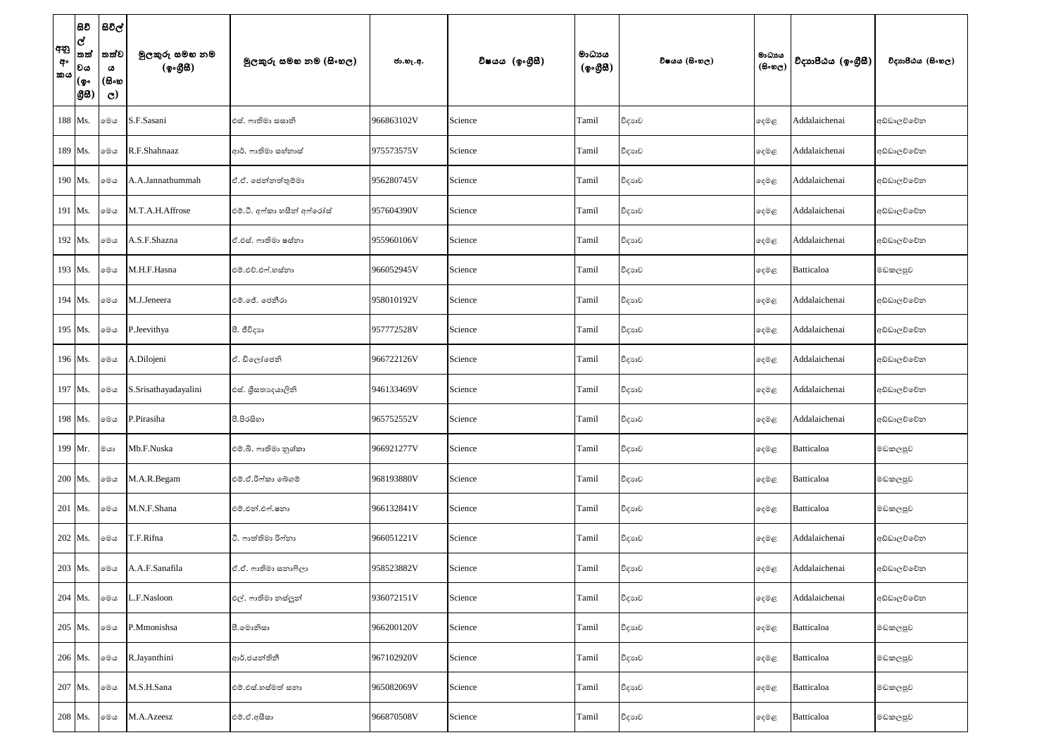| අනු<br>අං<br><b>කය</b> | සිවි<br>ල්<br>තත්<br>වය<br>(စွ…<br> යුස) | සිවිල්<br>තත්ව<br>ය<br>(සිංහ<br>$\mathbf{C}$ | මුලකුරු සමහ නම<br>(ඉංගීසී) | මූලකුරු සමහ නම (සිංහල)      | ජා.හැ.අ.   | විෂයය (ඉංගුීසි) | මාධාපය<br>$({\cal Q} \circ \mathcal{B} \mathcal{B})$ | විෂයය (සිංහල) | මාධායය<br>$(B \circ \omega_C)$ | විදාහපීඨය (ඉංගීසී) | විදාහපීඨය (සිංහල) |
|------------------------|------------------------------------------|----------------------------------------------|----------------------------|-----------------------------|------------|-----------------|------------------------------------------------------|---------------|--------------------------------|--------------------|-------------------|
|                        | 188 Ms.                                  | මෙය                                          | S.F.Sasani                 | එස්. ෆාතිමා සසානි           | 966863102V | Science         | Tamil                                                | විදාහව        | දෙමළ                           | Addalaichenai      | අඩ්ඩාලව්වේන       |
|                        | 189 Ms.                                  | මෙය                                          | R.F.Shahnaaz               | ආර්. ෆාතිමා සහ්නාස්         | 975573575V | Science         | Tamil                                                | විදාහව        | දෙමළ                           | Addalaichenai      | අඩ්ඩාලච්චේන       |
|                        | 190 Ms.                                  | මෙය                                          | A.A.Jannathummah           | ඒ.ඒ. ජෙන්නත්තුම්මා          | 956280745V | Science         | Tamil                                                | විදාහව        | දෙමළ                           | Addalaichenai      | අඩ්ඩාලව්වේන       |
|                        | 191 Ms.                                  | මෙය                                          | M.T.A.H.Affrose            | එම්.ටී. අෆ්කා හසීන් අෆ්රෝස් | 957604390V | Science         | Tamil                                                | විදාහව        | දෙමළ                           | Addalaichenai      | අඩ්ඩාලව්වේන       |
|                        | 192 Ms.                                  | මෙය                                          | A.S.F.Shazna               | ඒ.එස්. ෆාතිමා ෂස්තා         | 955960106V | Science         | Tamil                                                | විදාහව        | දෙමළ                           | Addalaichenai      | අඩ්ඩාලව්වේන       |
|                        | 193 Ms.                                  | මෙය                                          | M.H.F.Hasna                | එම්.එච්.එෆ්.හස්තා           | 966052945V | Science         | Tamil                                                | විදාහව        | දෙමළ                           | Batticaloa         | මඩකලපුව           |
|                        | 194 Ms.                                  | මෙය                                          | M.J.Jeneera                | එම්.ජේ. ජෙනීරා              | 958010192V | Science         | Tamil                                                | විදාහව        | දෙමළ                           | Addalaichenai      | අඩ්ඩාලච්චේන       |
|                        | 195 Ms.                                  | මෙය                                          | P.Jeevithya                | පී. ජීවිදාහ                 | 957772528V | Science         | Tamil                                                | විදාහව        | දෙමළ                           | Addalaichenai      | අඩ්ඩාලච්චේන       |
|                        | 196 Ms.                                  | මෙය                                          | A.Dilojeni                 | ඒ. ඩිලෝජෙනි                 | 966722126V | Science         | Tamil                                                | විදාහව        | දෙමළ                           | Addalaichenai      | අඩ්ඩාලව්වේන       |
|                        | 197 Ms.                                  | මෙය                                          | S.Srisathayadayalini       | එස්. ශීසතාදෙයාලිනි          | 946133469V | Science         | Tamil                                                | විදාහව        | දෙමළ                           | Addalaichenai      | අඩ්ඩාලව්වේන       |
|                        | 198 Ms.                                  | මෙය                                          | P.Pirasiha                 | පී.පිරසිහා                  | 965752552V | Science         | Tamil                                                | විදාහව        | ෫෧෫                            | Addalaichenai      | අඩ්ඩාලව්වේන       |
|                        | 199 Mr.                                  | ∣මයා                                         | Mb.F.Nuska                 | එම්.බී. ෆාතිමා නුශ්කා       | 966921277V | Science         | Tamil                                                | විදාහව        | දෙමළ                           | Batticaloa         | මඩකලපුව           |
|                        | 200 Ms.                                  | මෙය                                          | M.A.R.Begam                | එම්.ඒ.රිෆ්කා බේගම්          | 968193880V | Science         | Tamil                                                | විදාහව        | දෙමළ                           | <b>Batticaloa</b>  | මඩකලපුව           |
|                        | 201 Ms.                                  | මෙය                                          | M.N.F.Shana                | එම්.එන්.එෆ්.ෂනා             | 966132841V | Science         | Tamil                                                | විදාහව        | දෙමළ                           | Batticaloa         | මඩකලපුව           |
|                        | 202 Ms.                                  | මෙය                                          | T.F.Rifna                  | ටී. ෆාත්තිමා රිෆ්නා         | 966051221V | Science         | Tamil                                                | විදාහව        | දෙමළ                           | Addalaichenai      | අඩ්ඩාලච්චේන       |
|                        | 203 Ms.                                  | මෙය                                          | A.A.F.Sanafila             | ඒ.ඒ. ෆාතිමා සනාෆිලා         | 958523882V | Science         | Tamil                                                | විදාහව        | ෫෧෫                            | Addalaichenai      | අඩ්ඩාලච්චේන       |
|                        | 204 Ms.                                  | මෙය                                          | L.F.Nasloon                | එල්. ෆාතිමා නස්ලූන්         | 936072151V | Science         | Tamil                                                | විදාහව        | දෙමළ                           | Addalaichenai      | අඩ්ඩාලව්වේන       |
|                        | 205 Ms.                                  | මෙය                                          | P.Mmonishsa                | පී. මොනිසා                  | 966200120V | Science         | Tamil                                                | විදාහව        | දෙමළ                           | <b>Batticaloa</b>  | මඩකලපුව           |
|                        | 206 Ms.                                  | මෙය                                          | R.Jayanthini               | ආර්.ජයන්තිනී                | 967102920V | Science         | Tamil                                                | විදාහව        | දෙමළ                           | Batticaloa         | මඩකලපුව           |
|                        | 207 Ms.                                  | මෙය                                          | M.S.H.Sana                 | එම්.එස්.හස්මත් සනා          | 965082069V | Science         | Tamil                                                | විදාහව        | දෙමළ                           | <b>Batticaloa</b>  | මඩකලපුව           |
|                        | 208 Ms.                                  | මෙය                                          | M.A.Azeesz                 | එම්.ඒ.අසීසා                 | 966870508V | Science         | Tamil                                                | විදාහව        | දෙමළ                           | Batticaloa         | මඩකලපුව           |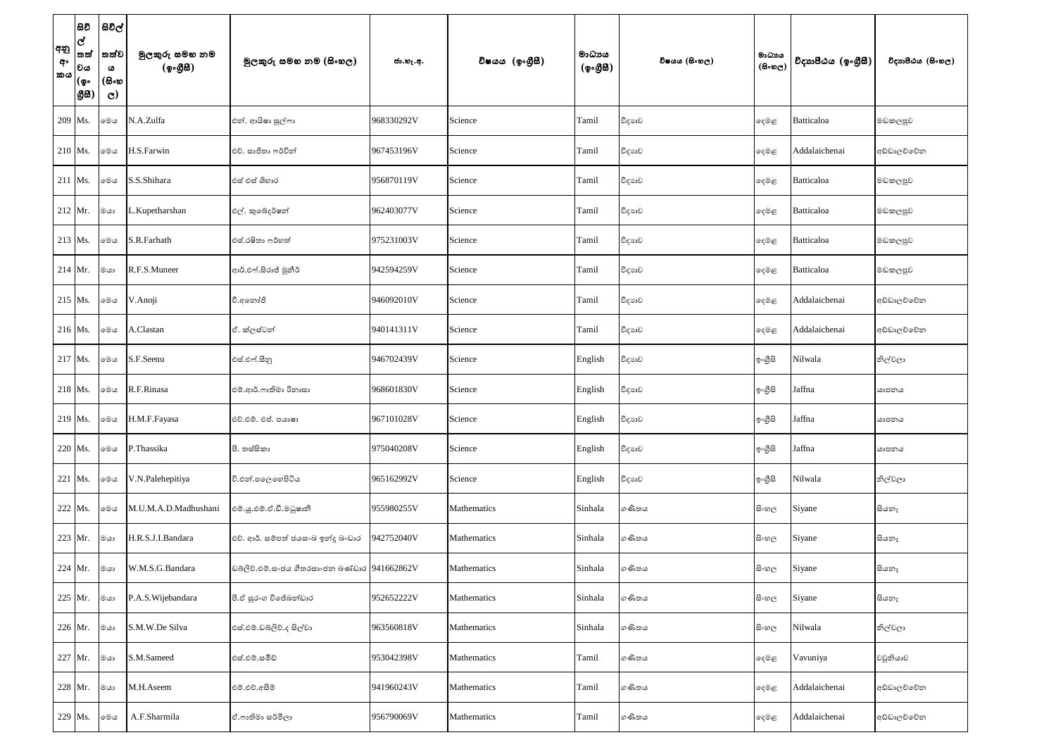| අනු<br>අං<br>කය | සිවි<br>ල්<br>තත්<br> වය<br>(စွ۰<br> යුස | සිවිල්<br>තත්ව<br>ය<br>(සිංහ<br>$\mathbf{C}$ | මුලකුරු සමහ නම<br>(ඉංගීසී) | මුලකුරු සමහ නම (සිංහල)                       | ජා.හැ.අ.   | විෂයය (ඉංගුීසී) | මාධායය<br>(ඉංගීසී) | විෂයය (සිංහල) | මාධාය<br>$(B \circ \omega_C)$ | විදාහපීඨය (ඉංගීසී) | විදාහපීඨය (සිංහල) |
|-----------------|------------------------------------------|----------------------------------------------|----------------------------|----------------------------------------------|------------|-----------------|--------------------|---------------|-------------------------------|--------------------|-------------------|
|                 | 209 Ms.                                  | මෙය                                          | N.A.Zulfa                  | එන්. ආයිෂා සුල්ෆා                            | 968330292V | Science         | Tamil              | විදාහව        | දෙමළ                          | Batticaloa         | මඩකලපුව           |
|                 | $210$ Ms.                                | මෙය                                          | H.S.Farwin                 | එච්. සාජිතා ෆර්වින්                          | 967453196V | Science         | Tamil              | විදාහව        | දෙමළ                          | Addalaichenai      | අඩ්ඩාලච්චේන       |
|                 | $211$ Ms.                                | මෙය                                          | S.S.Shihara                | එස් එස් ශිහාර                                | 956870119V | Science         | Tamil              | විදාහව        | දෙමළ                          | Batticaloa         | මඩකලපුව           |
|                 | $212$ Mr.                                | මයා                                          | .Kupetharshan              | එල්. කුඛෙදර්ෂන්                              | 962403077V | Science         | Tamil              | විදාහව        | දෙමළ                          | Batticaloa         | මඩකලපුව           |
|                 | 213 Ms.                                  | මෙය                                          | S.R.Farhath                | එස්.රෂිතා ෆර්හත්                             | 975231003V | Science         | Tamil              | විදාහව        | දෙමළ                          | Batticaloa         | මඩකලපුව           |
|                 | $214$ Mr.                                | මයා                                          | R.F.S.Muneer               | ආර්.එෆ්.සිරාජ් මුනීර්                        | 942594259V | Science         | Tamil              | විදාහව        | දෙමළ                          | Batticaloa         | මඩකලපුව           |
|                 | 215 Ms.                                  | මෙය                                          | V.Anoji                    | වී.අනෝජි                                     | 946092010V | Science         | Tamil              | විදාහව        | දෙමළ                          | Addalaichenai      | අඩ්ඩාලච්චේන       |
|                 | 216 Ms.                                  | මෙය                                          | A.Clastan                  | ඒ. ක්ලස්ටන්                                  | 940141311V | Science         | Tamil              | විදාහව        | දෙමළ                          | Addalaichenai      | අඩ්ඩාලච්චේන       |
|                 | 217 Ms.                                  | මෙය                                          | S.F.Seenu                  | එස්.එෆ්.සීනු                                 | 946702439V | Science         | English            | විදාහව        | ඉංගීසි                        | Nilwala            | නිල්වලා           |
|                 | 218 Ms.                                  | මෙය                                          | R.F.Rinasa                 | එම්.ආර්.ෆාතිමා රිනාසා                        | 968601830V | Science         | English            | විදාහව        | ඉංගීසි                        | Jaffna             | යාපනය             |
|                 | 219 Ms.                                  | මෙය                                          | H.M.F.Fayasa               | එච්.එම්. එප්. පයාෂා                          | 967101028V | Science         | English            | විදාහව        | ඉංගුිසි                       | Jaffna             | යාපනය             |
|                 | 220 Ms.                                  | මෙය                                          | P.Thassika                 | පී. තස්සිකා                                  | 975040208V | Science         | English            | විදාහව        | ඉංගීසි                        | Jaffna             | යාපනය             |
|                 | 221 Ms.                                  | මෙය                                          | V.N.Palehepitiya           | වී.එන්.පලෙහෙපිටිය                            | 965162992V | Science         | English            | විදාහව        | ඉංගීසි                        | Nilwala            | නිල්වලා           |
|                 | 222 Ms.                                  | මෙය                                          | M.U.M.A.D.Madhushani       | එම්.ශූ.එම්.ඒ.ඩී.මධුෂානී                      | 955980255V | Mathematics     | Sinhala            | ගණිතය         | සි∘හල                         | Siyane             | සියනෑ             |
|                 | 223 Mr.                                  | මයා                                          | H.R.S.J.I.Bandara          | එච්. ආර්. සම්පත් ජයසංඛ ඉන්දූ බංඩාර           | 942752040V | Mathematics     | Sinhala            | ගණිතය         | සි∘හල                         | Siyane             | සියනෑ             |
|                 | 224 Mr.   கௌ                             |                                              | W.M.S.G.Bandara            | ඩබ්ලිව්.එම්.සංජය ගීතරසාංජන බණ්ඩාර 941662862V |            | Mathematics     | Sinhala            | ගණිතය         | සි∘හල                         | Siyane             | සියතෑ             |
|                 | 225 Mr.                                  | මයා                                          | P.A.S. Wijebandara         | පී.ඒ සුරංග විජේබන්ඩාර                        | 952652222V | Mathematics     | Sinhala            | ගණිතය         | සි∘හල                         | Siyane             | සියනෑ             |
|                 | 226 Mr.                                  | මයා                                          | S.M.W.De Silva             | එස්.එම්.ඩබ්ලිව්.ද සිල්වා                     | 963560818V | Mathematics     | Sinhala            | ගණිතය         | සි∘හල                         | Nilwala            | නිල්වලා           |
|                 | 227 Mr.                                  | මයා                                          | S.M.Sameed                 | එස්.එම්.සමීඩ්                                | 953042398V | Mathematics     | Tamil              | ගණිතය         | දෙමළ                          | Vavuniya           | වවුනියාව          |
|                 | 228 Mr.                                  | මයා                                          | M.H.Aseem                  | එම්.එච්.අසීම්                                | 941960243V | Mathematics     | Tamil              | ගණිතය         | දෙමළ                          | Addalaichenai      | අඩ්ඩාලච්චේන       |
|                 | 229 Ms.                                  | මෙය                                          | A.F.Sharmila               | ඒ.ෆාතිමා සර්මිලා                             | 956790069V | Mathematics     | Tamil              | ගණිතය         | ෫ෙළ                           | Addalaichenai      | අඩ්ඩාලච්චේන       |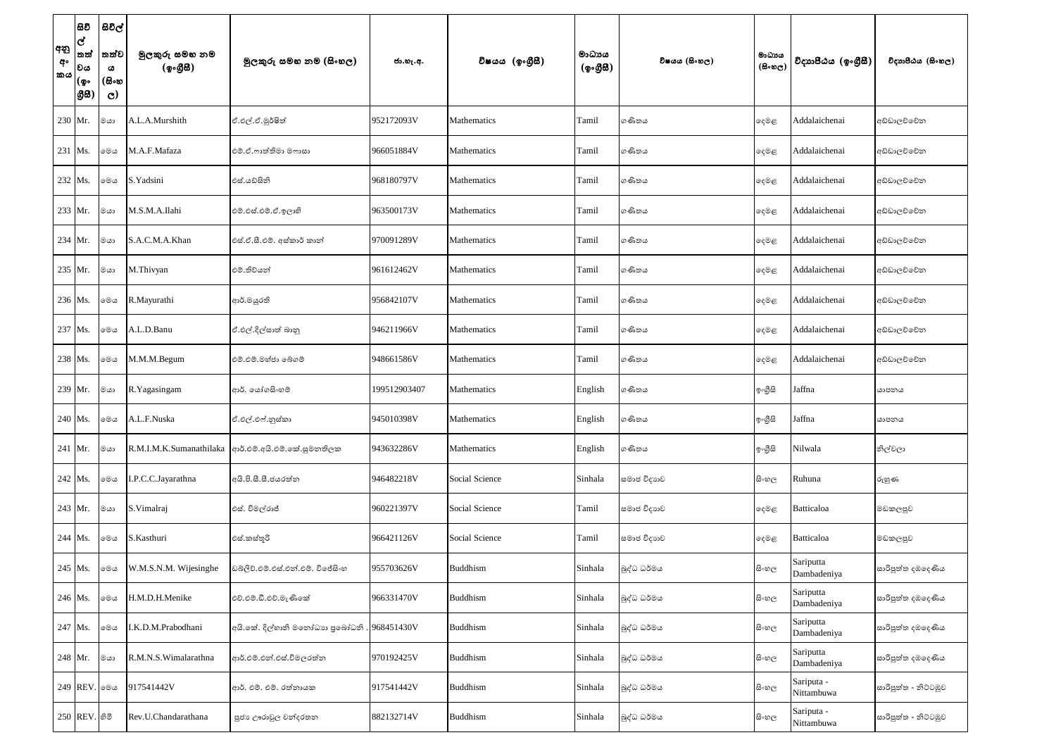| අනු<br>අං<br><b>කය</b> | සිවි<br>ල්<br>තත්<br>වය<br>(စွ…<br> යුස) | සිවිල්<br>තත්ව<br>ය<br>(සිංහ<br>$\mathbf{C}$ | මුලකුරු සමහ නම<br>(ඉංගීසී) | මූලකුරු සමහ නම (සිංහල)                       | ජා.හැ.අ.     | විෂයය (ඉංගීුසි) | මාධාපය<br>$({\cal Q} \circ \mathcal{B} \mathcal{B})$ | විෂයය (සිංහල) | මාධායය<br>$(\mathbb{B}\circ \mathfrak{v}_\mathbb{C})$ | විදාහපීඨය (ඉංගීසී)       | විදාහපීඨය (සිංහල)    |
|------------------------|------------------------------------------|----------------------------------------------|----------------------------|----------------------------------------------|--------------|-----------------|------------------------------------------------------|---------------|-------------------------------------------------------|--------------------------|----------------------|
|                        | 230 Mr.                                  | මයා                                          | A.L.A.Murshith             | ඒ.එල්.ඒ.මුර්ෂිත්                             | 952172093V   | Mathematics     | Tamil                                                | ගණිතය         | දෙමළ                                                  | Addalaichenai            | අඩ්ඩාලව්වේන          |
|                        | 231 Ms.                                  | මෙය                                          | M.A.F.Mafaza               | එම්.ඒ.ෆාත්තිමා මෆාසා                         | 966051884V   | Mathematics     | Tamil                                                | ගණිතය         | දෙමළ                                                  | Addalaichenai            | අඩ්ඩාලව්වේන          |
|                        | 232 Ms.                                  | මෙය                                          | S.Yadsini                  | එස්.යඩ්සිනි                                  | 968180797V   | Mathematics     | Tamil                                                | ගණිතය         | දෙමළ                                                  | Addalaichenai            | අඩ්ඩාලව්වේන          |
|                        | 233 Mr.                                  | මයා                                          | M.S.M.A.Ilahi              | එම්.එස්.එම්.ඒ.ඉලාහි                          | 963500173V   | Mathematics     | Tamil                                                | ගණිතය         | දෙමළ                                                  | Addalaichenai            | අඩ්ඩාලව්වේන          |
|                        | 234 Mr.                                  | මයා                                          | S.A.C.M.A.Khan             | එස්.ඒ.සී.එම්. අස්කාර් කාන්                   | 970091289V   | Mathematics     | Tamil                                                | ගණිතය         | දෙමළ                                                  | Addalaichenai            | අඩ්ඩාලච්චේන          |
|                        | 235 Mr.                                  | මයා                                          | M.Thivyan                  | එම්.තිව්යන්                                  | 961612462V   | Mathematics     | Tamil                                                | ගණිතය         | දෙමළ                                                  | Addalaichenai            | අඩ්ඩාලව්වේන          |
|                        | 236 Ms.                                  | මෙය                                          | R.Mayurathi                | ආර්.මයුරති                                   | 956842107V   | Mathematics     | Tamil                                                | ගණිතය         | දෙමළ                                                  | Addalaichenai            | අඩ්ඩාලව්වේන          |
|                        | 237 Ms.                                  | මෙය                                          | A.L.D.Banu                 | ඒ.එල්.දිල්සාත් බානු                          | 946211966V   | Mathematics     | Tamil                                                | ගණිතය         | දෙමළ                                                  | Addalaichenai            | අඩ්ඩාලව්වේන          |
|                        | 238 Ms.                                  | මෙය                                          | M.M.M.Begum                | එම්.එම්.මහ්ජා බේගම්                          | 948661586V   | Mathematics     | Tamil                                                | ගණිතය         | දෙමළ                                                  | Addalaichenai            | අඩ්ඩාලව්වේන          |
|                        | 239 Mr.                                  | ∣මයා                                         | R.Yagasingam               | ආර්. යෝගසිංහම්                               | 199512903407 | Mathematics     | English                                              | ගණිතය         | ඉංගීසි                                                | Jaffna                   | යාපනය                |
|                        | 240 Ms.                                  | මෙය                                          | A.L.F.Nuska                | ඒ.එල්.එෆ්.නුස්කා                             | 945010398V   | Mathematics     | English                                              | ගණිතය         | ඉංගුිසි                                               | Jaffna                   | යාපනය                |
|                        | $241$ Mr.                                | ∣මයා                                         | R.M.I.M.K.Sumanathilaka    | ආර්.එම්.අයි.එම්.කේ.සුමනතිලක                  | 943632286V   | Mathematics     | English                                              | ගණිතය         | ඉංගීසි                                                | Nilwala                  | නිල්වලා              |
|                        | 242 Ms.                                  | මෙය                                          | I.P.C.C.Jayarathna         | අයි.පි.සී.සී.ජයරත්න                          | 946482218V   | Social Science  | Sinhala                                              | සමාජ විදාහව   | සි∘හල                                                 | Ruhuna                   | රුහුණ                |
|                        | 243 Mr.                                  | මයා                                          | S.Vimalraj                 | එස්. විමල්රාජ්                               | 960221397V   | Social Science  | Tamil                                                | සමාජ විදාහව   | දෙමළ                                                  | Batticaloa               | මඩකලපුව              |
|                        | 244 Ms.                                  | මෙය                                          | S.Kasthuri                 | එස්.කස්තූරි                                  | 966421126V   | Social Science  | Tamil                                                | සමාජ විදාහව   | දෙමළ                                                  | Batticaloa               | මඩකලපුව              |
|                        | 245 Ms.                                  | මෙය                                          | W.M.S.N.M. Wijesinghe      | ඩබ්ලිව්.එම්.එස්.එන්.එම්. විජේසිංහ            | 955703626V   | Buddhism        | Sinhala                                              | බුද්ධ ධර්මය   | සි∘හල                                                 | Sariputta<br>Dambadeniya | සාරිපුත්ත දඹදෙණිය    |
|                        | 246 Ms.                                  | මෙය                                          | H.M.D.H.Menike             | එච්.එම්.ඩී.එච්.මැණිකේ                        | 966331470V   | Buddhism        | Sinhala                                              | බුද්ධ ධර්මය   | සි∘හල                                                 | Sariputta<br>Dambadeniya | සාරිපුත්ත දඹදෙණිය    |
|                        | 247 Ms.                                  | මෙය                                          | I.K.D.M.Prabodhani         | අයි.කේ. දිල්හානි මතෝධාහ පුබෝධනි . 968451430V |              | <b>Buddhism</b> | Sinhala                                              | බුද්ධ ධර්මය   | සි∘හල                                                 | Sariputta<br>Dambadeniya | සාරිපුත්ත දඹදෙණිය    |
|                        | 248 Mr.                                  | මයා                                          | R.M.N.S.Wimalarathna       | ආර්.එම්.එන්.එස්.විමලරත්න                     | 970192425V   | <b>Buddhism</b> | Sinhala                                              | බුද්ධ ධර්මය   | සි∘හල                                                 | Sariputta<br>Dambadeniya | සාරිපුත්ත දඹදෙණිය    |
|                        | 249 REV. லை                              |                                              | 917541442V                 | ආර්. එම්. එම්. රත්නායක                       | 917541442V   | <b>Buddhism</b> | Sinhala                                              | බුද්ධ ධර්මය   | සි∘හල                                                 | Sariputa -<br>Nittambuwa | සාරිපුත්ත - නිට්ටඹුව |
|                        | 250 REV. හිමි                            |                                              | Rev.U.Chandarathana        | පූජා ඌරාවුල චන්දරතන                          | 882132714V   | <b>Buddhism</b> | Sinhala                                              | බුද්ධ ධර්මය   | සිංහල                                                 | Sariputa -<br>Nittambuwa | සාරිපුත්ත - නිට්ටඹුව |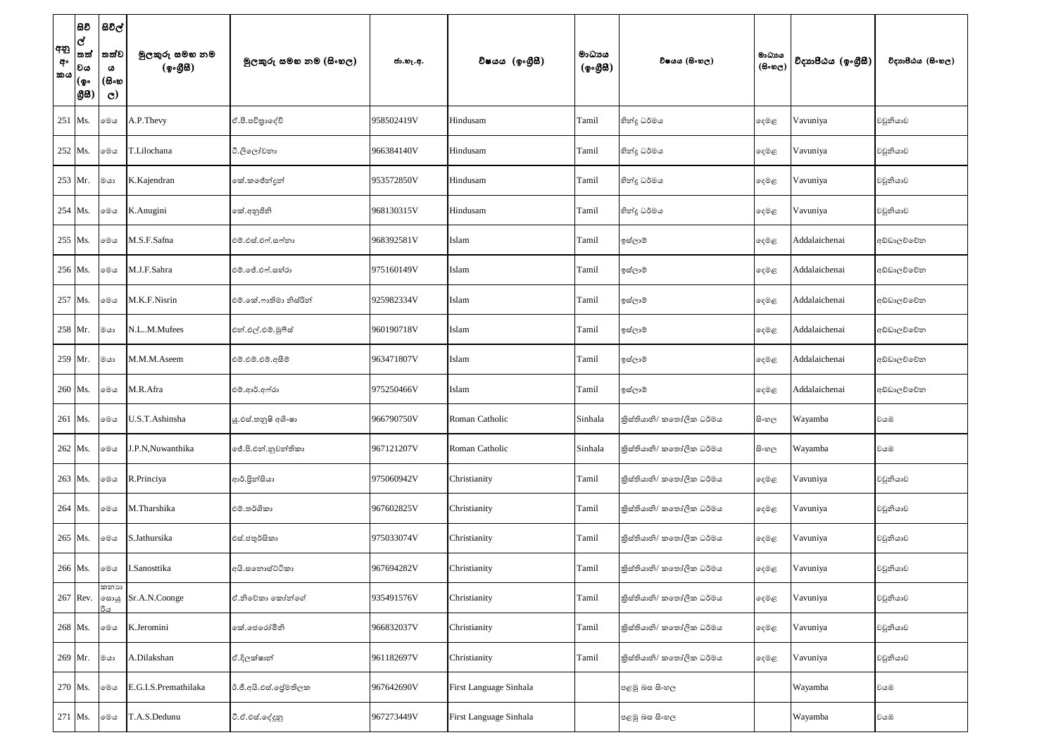| අනු<br>අං<br>කය | සිවි<br>ල්<br>තත්<br>වය<br>(စွ…<br> යුස | සිවිල්<br>තත්ව<br>ය<br>(සිංහ<br>$\mathbf{C}$ | මුලකුරු සමහ නම<br>(ඉංගීසී) | මූලකුරු සමහ නම (සිංහල) | ජා.හැ.අ.   | විෂයය (ඉංගීසී)         | මාධායය<br>(ඉංගීසී) | විෂයය (සිංහල)            | මාධාය<br>$(B \circ \circledcirc_C)$ | විදාහපීඨය (ඉංගීසී) | විදාහපීඨය (සිංහල) |
|-----------------|-----------------------------------------|----------------------------------------------|----------------------------|------------------------|------------|------------------------|--------------------|--------------------------|-------------------------------------|--------------------|-------------------|
|                 | $251$ Ms.                               | මෙය                                          | A.P.Thevy                  | ඒ.පී.පවිතුාදේවි        | 958502419V | Hindusam               | Tamil              | හින්දු ධර්මය             | දෙමළ                                | Vavuniya           | වවුනියාව          |
|                 | 252 Ms.                                 | මෙය                                          | T.Lilochana                | ටී.ලිලෝචනා             | 966384140V | Hindusam               | Tamil              | හින්දු ධර්මය             | දෙමළ                                | Vavuniya           | වවුනියාව          |
|                 | 253 Mr.                                 | මයා                                          | K.Kajendran                | කේ.කජේන්දුන්           | 953572850V | Hindusam               | Tamil              | හින්දු ධර්මය             | දෙමළ                                | Vavuniya           | වවුනියාව          |
|                 | 254 Ms.                                 | මෙය                                          | K.Anugini                  | කේ.අනුජිනි             | 968130315V | Hindusam               | Tamil              | හින්දු ධර්මය             | දෙමළ                                | Vavuniya           | වවුනියාව          |
|                 | 255 Ms.                                 | මෙය                                          | M.S.F.Safna                | එම්.එස්.එෆ්.සෆ්නා      | 968392581V | Islam                  | Tamil              | ඉස්ලාම්                  | දෙමළ                                | Addalaichenai      | අඩ්ඩාලච්චේන       |
|                 | 256 Ms.                                 | මෙය                                          | M.J.F.Sahra                | එම්.ජේ.එෆ්.සහ්රා       | 975160149V | Islam                  | Tamil              | ඉස්ලාම්                  | දෙමළ                                | Addalaichenai      | අඩ්ඩාලව්වේන       |
|                 | 257 Ms.                                 | මෙය                                          | M.K.F.Nisrin               | එම්.කේ.ෆාතිමා නිස්රින් | 925982334V | Islam                  | Tamil              | ඉස්ලාම්                  | දෙමළ                                | Addalaichenai      | අඩ්ඩාලච්චේන       |
|                 | 258 Mr.                                 | මයා                                          | N.LM.Mufees                | එන්.එල්.එම්.මූෆීස්     | 960190718V | Islam                  | Tamil              | ඉස්ලාම්                  | දෙමළ                                | Addalaichenai      | අඩ්ඩාලච්චේන       |
|                 | 259 Mr.                                 | මයා                                          | M.M.M.Aseem                | එම්.එම්.එම්.අසීම්      | 963471807V | Islam                  | Tamil              | ඉස්ලාම්                  | දෙමළ                                | Addalaichenai      | අඩ්ඩාලච්චේන       |
|                 | 260 Ms.                                 | මෙය                                          | M.R.Afra                   | එම්.ආර්.අෆ්රා          | 975250466V | Islam                  | Tamil              | ඉස්ලාම්                  | දෙමළ                                | Addalaichenai      | අඩ්ඩාලච්චේන       |
|                 | 261 Ms.                                 | මෙය                                          | U.S.T.Ashinsha             | ශූ.එස්.තතුෂි අශිංෂා    | 966790750V | Roman Catholic         | Sinhala            | කිස්තියානි/ කතෝලික ධර්මය | සිංහල                               | Wayamba            | වයඹ               |
|                 | 262 Ms.                                 | මෙය                                          | J.P.N, Nuwanthika          | ජේ.පි.එන්.නුවන්තිකා    | 967121207V | Roman Catholic         | Sinhala            | කිස්තියානි/ කතෝලික ධර්මය | සි∘හල                               | Wayamba            | වයඹ               |
|                 | 263 Ms.                                 | මෙය                                          | R.Princiya                 | ආර්.පින්සියා           | 975060942V | Christianity           | Tamil              | කිස්තියානි/ කතෝලික ධර්මය | දෙමළ                                | Vavuniya           | වවුනියාව          |
|                 | 264 Ms.                                 | මෙය                                          | M.Tharshika                | එම්.තර්ශිකා            | 967602825V | Christianity           | Tamil              | කිස්තියානි/ කතෝලික ධර්මය | දෙමළ                                | Vavuniya           | වවුනියාව          |
|                 | 265 Ms.                                 | මෙය                                          | S.Jathursika               | එස්.ජතුර්සිකා          | 975033074V | Christianity           | Tamil              | කිස්තියානි/ කතෝලික ධර්මය | දෙමළ                                | Vavuniya           | වවුනියාව          |
|                 | 266 Ms.                                 | මෙය                                          | I.Sanosttika               | අයි.සතොස්ට්ටිකා        | 967694282V | Christianity           | Tamil              | තිස්තියානි/ කතෝලික ධර්මය | දෙමළ                                | Vavuniya           | වවුනියාව          |
|                 | 267 Rev.                                | කතාහ<br>හොයු                                 | Sr.A.N.Coonge              | ඒ.නිවේකා කෝන්ගේ        | 935491576V | Christianity           | Tamil              | තිස්තියානි/ කතෝලික ධර්මය | දෙමළ                                | Vavuniya           | වවුනියාව          |
|                 | 268 Ms.                                 | මෙය                                          | K.Jeromini                 | කේ.ජෙරෝමිනි            | 966832037V | Christianity           | Tamil              | කිස්තියානි/ කතෝලික ධර්මය | දෙමළ                                | Vavuniya           | වවුනියාව          |
|                 | 269 Mr.                                 | මයා                                          | A.Dilakshan                | ඒ.දිලක්ෂාන්            | 961182697V | Christianity           | Tamil              | කිස්තියානි/ කතෝලික ධර්මය | දෙමළ                                | Vavuniya           | වවුනියාව          |
|                 | 270 Ms.                                 | මෙය                                          | E.G.I.S.Premathilaka       | ඊ.ජී.අයි.එස්.පේුමතිලක  | 967642690V | First Language Sinhala |                    | පළමු බස සිංහල            |                                     | Wayamba            | වයඹ               |
|                 | 271 Ms.                                 | මෙය                                          | T.A.S.Dedunu               | ටී.ඒ.එස්.දේදුනු        | 967273449V | First Language Sinhala |                    | පළමු බස සිංහල            |                                     | Wayamba            | වයඹ               |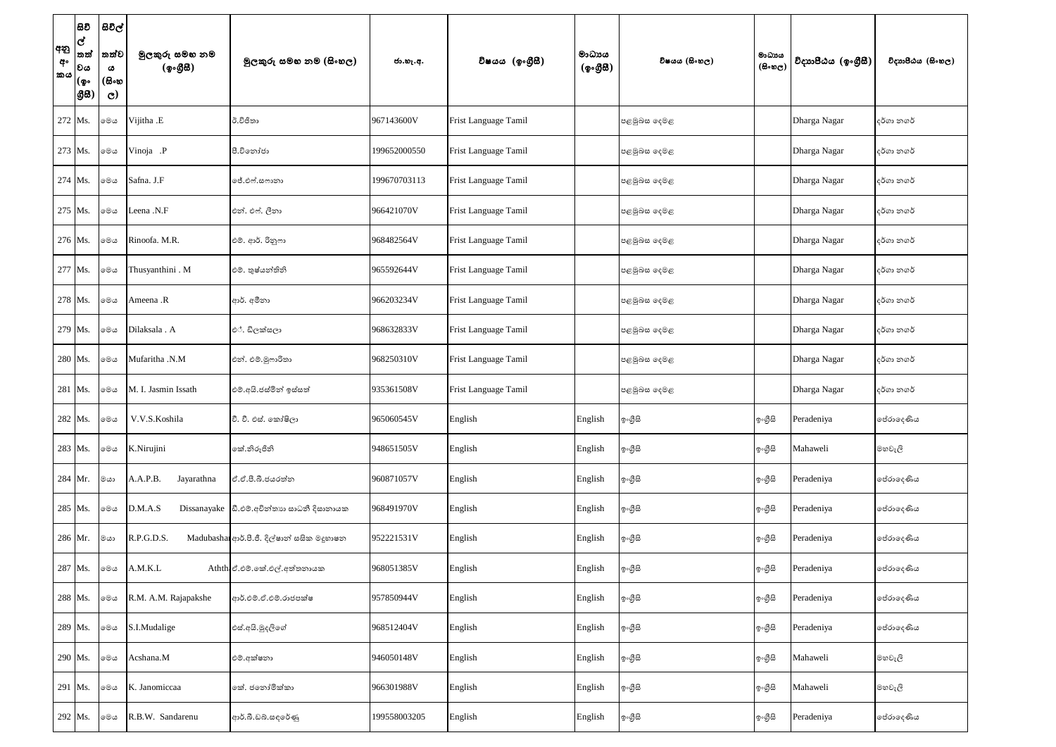| අනු<br>අං<br>කය | සිවි<br>ල්<br>තත්<br> වය<br>(စွ۰<br> යුස | සිවිල්<br>තත්ව<br>ය<br>(සිංහ<br>$\mathbf{C}$ | මුලකුරු සමහ නම<br>(ඉංගීසී) | මුලකුරු සමහ නම (සිංහල)                      | ජා.හැ.අ.     | විෂයය (ඉංගීුසි)      | මාධායය<br>(ඉංගීසී) | විෂයය (සිංහල) | මාධාය<br>$(B \circ \circledcirc_C)$ | විදාහපීඨය (ඉංගීසී) | විදාහපීඨය (සිංහල)   |
|-----------------|------------------------------------------|----------------------------------------------|----------------------------|---------------------------------------------|--------------|----------------------|--------------------|---------------|-------------------------------------|--------------------|---------------------|
|                 | 272 Ms.                                  | මෙය                                          | Vijitha .E                 | ඊ.විජිතා                                    | 967143600V   | Frist Language Tamil |                    | පළමුබස දෙමළ   |                                     | Dharga Nagar       | දර්ගා නගර්          |
|                 | 273 Ms.                                  | මෙය                                          | Vinoja .P                  | පී.වීනෝජා                                   | 199652000550 | Frist Language Tamil |                    | පළමුබස දෙමළ   |                                     | Dharga Nagar       | දර්ගා නගර්          |
|                 | 274 Ms.                                  | මෙය                                          | Safna. J.F                 | ජේ.එෆ්.සෆානා                                | 199670703113 | Frist Language Tamil |                    | පළමුබස දෙමළ   |                                     | Dharga Nagar       | දර්ගා නගර්          |
|                 | 275 Ms.                                  | මෙය                                          | Leena .N.F                 | එන්. එෆ්. ලීනා                              | 966421070V   | Frist Language Tamil |                    | පළමුබස දෙමළ   |                                     | Dharga Nagar       | දර්ගා නගර්          |
|                 | 276 Ms.                                  | මෙය                                          | Rinoofa. M.R.              | එම්. ආර්. රිනුෆා                            | 968482564V   | Frist Language Tamil |                    | පළමුබස දෙමළ   |                                     | Dharga Nagar       | දර්ගා නගර්          |
|                 | 277 Ms.                                  | මෙය                                          | Thusyanthini . M           | එම්. තුෂ්යන්තිනි                            | 965592644V   | Frist Language Tamil |                    | පළමුබස දෙමළ   |                                     | Dharga Nagar       | දර්ගා නගර්          |
|                 | 278 Ms.                                  | මෙය                                          | Ameena .R                  | ආර්. අමීනා                                  | 966203234V   | Frist Language Tamil |                    | පළමුබස දෙමළ   |                                     | Dharga Nagar       | දර්ගා නගර්          |
|                 | 279 Ms.                                  | මෙය                                          | Dilaksala . A              | එ්. ඩිලක්සලා                                | 968632833V   | Frist Language Tamil |                    | පළමුබස දෙමළ   |                                     | Dharga Nagar       | දර්ගා නගර්          |
|                 | 280 Ms.                                  | මෙය                                          | Mufaritha .N.M             | එන්. එම්.මූෆාරිතා                           | 968250310V   | Frist Language Tamil |                    | පළමුබස දෙමළ   |                                     | Dharga Nagar       | දර්ගා නගර්          |
|                 | 281 Ms.                                  | මෙය                                          | M. I. Jasmin Issath        | එම්.අයි.ජස්මින් ඉස්සත්                      | 935361508V   | Frist Language Tamil |                    | පළමුබස දෙමළ   |                                     | Dharga Nagar       | දර්ගා නගර්          |
|                 | 282 Ms.                                  | මෙය                                          | V.V.S.Koshila              | වී. වී. එස්. කෝෂිලා                         | 965060545V   | English              | English            | ඉංගීසි        | ඉංගුිසි                             | Peradeniya         | ලප්රාලද <i>ණි</i> ය |
|                 | 283 Ms.                                  | මෙය                                          | K.Nirujini                 | කේ.නිරූජිනි                                 | 948651505V   | English              | English            | ඉ∘ගීුසි       | ඉංගීසි                              | Mahaweli           | මහවැලි              |
|                 | 284 Mr.                                  | මයා                                          | A.A.P.B.<br>Jayarathna     | ඒ.ඒ.පී.බී.ජයරත්න                            | 960871057V   | English              | English            | ඉ∘ගීුසි       | ඉංගීසි                              | Peradeniya         | පේරාදෙණිය           |
|                 | 285 Ms.                                  | මෙය                                          | D.M.A.S                    | Dissanayake  ඩී.එම්.අචින්තාහ සාධනී දිසානායක | 968491970V   | English              | English            | ඉංගීසි        | ඉංගීසි                              | Peradeniya         | ලප්රාලද <i>ණි</i> ය |
|                 | 286 Mr.                                  | මයා                                          | R.P.G.D.S.                 | Madubashan ආර්.පී. පීල්ෂාන් සසික මදුහාෂන    | 952221531V   | English              | English            | ඉංගීසි        | ඉංගුිසි                             | Peradeniya         | ලප්රාදෙ <i>ණි</i> ය |
|                 | 287 Ms.                                  | මෙය                                          | A.M.K.L                    | Athth ඒ.එම්.කේ.එල්.අත්තනායක                 | 968051385V   | English              | English            | ඉංගීසි        | ඉංගීසි                              | Peradeniya         | ලප්රාදෙ <i>ණි</i> ය |
|                 | 288 Ms.                                  | මෙය                                          | R.M. A.M. Rajapakshe       | ආර්.එම්.ඒ.එම්.රාජපක්ෂ                       | 957850944V   | English              | English            | ඉ∘ගීුසි       | ඉංගීසි                              | Peradeniya         | පේරාදෙණිය           |
|                 | 289 Ms.                                  | මෙය                                          | S.I.Mudalige               | එස්.අයි.මුදලිගේ                             | 968512404V   | English              | English            | ඉංගීසි        | ඉංගීසි                              | Peradeniya         | පේරාදෙණිය           |
|                 | 290 Ms.                                  | මෙය                                          | Acshana.M                  | එම්.අක්ෂනා                                  | 946050148V   | English              | English            | ඉංගීසි        | ඉංගීසි                              | Mahaweli           | මහවැලි              |
|                 | 291 Ms.                                  | මෙය                                          | K. Janomiccaa              | කේ. ජනෝමික්කා                               | 966301988V   | English              | English            | ඉංගීසි        | ඉංගුිසි                             | Mahaweli           | මහවැලි              |
|                 | 292 Ms.                                  | මෙය                                          | R.B.W. Sandarenu           | ආර්.බී.ඩබ්.සඳරේණු                           | 199558003205 | English              | English            | ඉංගීසි        | ඉංගීසි                              | Peradeniya         | පේරාදෙණිය           |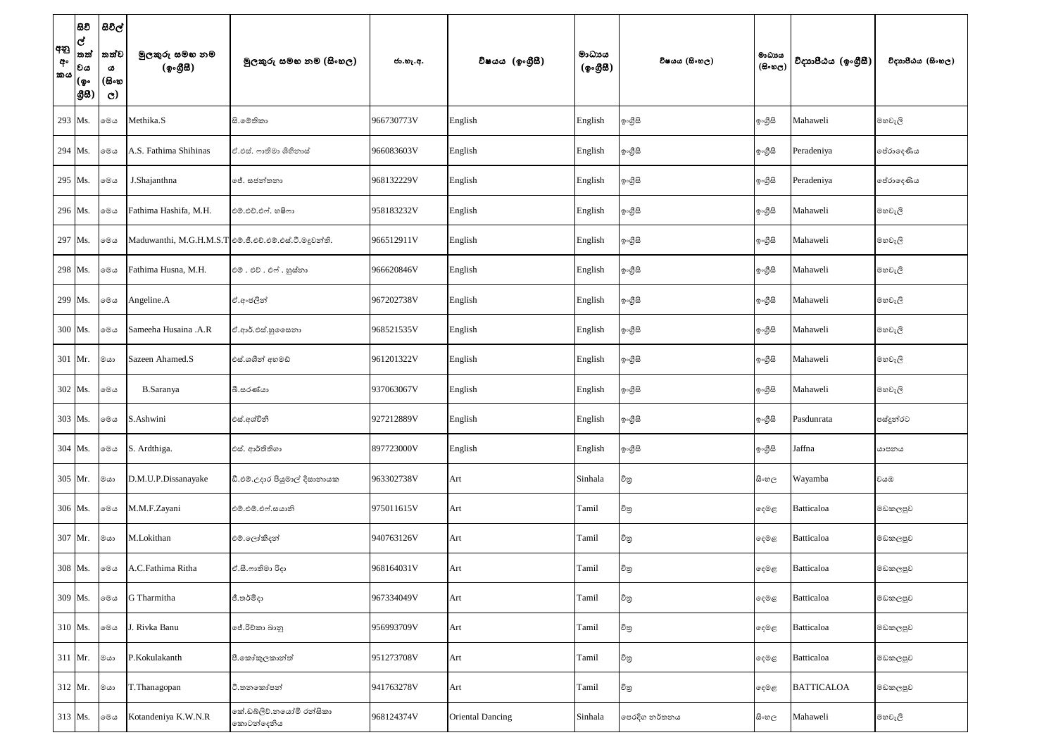| අනු<br>අං<br><b>කය</b> | සිවි<br>$\mathbf{G}$<br>තත්<br>වය<br>(စွ…<br> යුස) | සිවිල්<br>තත්ව<br>ය<br>(සිංහ<br>$\mathbf{C}$ | මුලකුරු සමහ නම<br>(ඉංගීසී) | මූලකුරු සමහ නම (සිංහල)                                    | ජා.හැ.අ.   | විෂයය (ඉංගීුසි)         | මාධායය<br>$({\cal Q} \circ \mathcal{B} \mathcal{B})$ | විෂයය (සිංහල)   | මාධායය<br>$(B \circ \circledcirc_C)$ | විදාහපීඨය (ඉංගීසී) | විදාහපීඨය (සිංහල) |
|------------------------|----------------------------------------------------|----------------------------------------------|----------------------------|-----------------------------------------------------------|------------|-------------------------|------------------------------------------------------|-----------------|--------------------------------------|--------------------|-------------------|
|                        | 293 Ms.                                            | මෙය                                          | Methika.S                  | සි.මේතිකා                                                 | 966730773V | English                 | English                                              | ඉ∘ගීුසි         | ඉංගීසි                               | Mahaweli           | මහවැලි            |
|                        | 294 Ms.                                            | මෙය                                          | A.S. Fathima Shihinas      | ඒ.එස්. ෆාතිමා ශිහිනාස්                                    | 966083603V | English                 | English                                              | ඉ∘ගීුසි         | ඉංගීසි                               | Peradeniya         | පේරාදෙණිය         |
|                        | 295 Ms.                                            | මෙය                                          | J.Shajanthna               | ජේ. සජන්තනා                                               | 968132229V | English                 | English                                              | ඉ∘ගීුසි         | ඉංගීසි                               | Peradeniya         | පේරාදෙණිය         |
|                        | 296 Ms.                                            | මෙය                                          | Fathima Hashifa, M.H.      | එම්.එච්.එෆ්. හෂිෆා                                        | 958183232V | English                 | English                                              | ඉ∘ගුිසි         | ඉංගීසි                               | Mahaweli           | මහවැලි            |
|                        | 297 Ms.                                            | මෙය                                          |                            | Maduwanthi, M.G.H.M.S.T   එම්.ජී.එච්.එම්.එස්.ටී.මදුවන්ති. | 966512911V | English                 | English                                              | ඉ∘ගුිසි         | ඉංගීසි                               | Mahaweli           | මහවැලි            |
|                        | 298 Ms.                                            | මෙය                                          | Fathima Husna, M.H.        | එම්. එච්. එෆ්. හුස්නා                                     | 966620846V | English                 | English                                              | ඉ∘ගීුසි         | ඉංගීසි                               | Mahaweli           | මහවැලි            |
|                        | 299 Ms.                                            | මෙය                                          | Angeline.A                 | ඒ.අංජලින්                                                 | 967202738V | English                 | English                                              | ඉ∘ගීුසි         | ඉංගීසි                               | Mahaweli           | මහවැලි            |
|                        | 300 Ms.                                            | මෙය                                          | Sameeha Husaina .A.R       | ඒ.ආර්.එස්.හු ෙෙසනා                                        | 968521535V | English                 | English                                              | ඉ∘ගීුසි         | ඉංගීසි                               | Mahaweli           | මහවැලි            |
|                        | 301 Mr.                                            | මයා                                          | Sazeen Ahamed.S            | එස්.ශශීන් අහමඩ්                                           | 961201322V | English                 | English                                              | ඉ∘ගීුසි         | ඉංගීසි                               | Mahaweli           | මහවැලි            |
|                        | 302 Ms.                                            | මෙය                                          | <b>B.Saranya</b>           | බී.සරණ්යා                                                 | 937063067V | English                 | English                                              | ඉ∘ගීුසි         | ඉංගීසි                               | Mahaweli           | මහවැලි            |
|                        | 303 Ms.                                            | මෙය                                          | S.Ashwini                  | එස්.අශ්විනි                                               | 927212889V | English                 | English                                              | <b>ඉංගුස</b>    | ඉංගුිසි                              | Pasdunrata         | පස්දුන්රට         |
|                        | 304 Ms.                                            | මෙය                                          | S. Ardthiga.               | එස්. ආර්තිතිගා                                            | 897723000V | English                 | English                                              | <b>ඉංගුි</b> සි | ඉංගීසි                               | Jaffna             | යාපනය             |
|                        | 305 Mr.                                            | මයා                                          | D.M.U.P.Dissanayake        | ඩී.එම්.උදාර පියුමාල් දිසානායක                             | 963302738V | Art                     | Sinhala                                              | විතු            | සිංහල                                | Wayamba            | වයඹ               |
|                        | 306 Ms.                                            | මෙය                                          | M.M.F.Zayani               | එම්.එම්.එෆ්.සයානි                                         | 975011615V | Art                     | Tamil                                                | විතු            | දෙමළ                                 | <b>Batticaloa</b>  | මඩකලපුව           |
|                        | 307 Mr.                                            | මයා                                          | M.Lokithan                 | එම්.ලෝකිදන්                                               | 940763126V | Art                     | Tamil                                                | විතු            | දෙමළ                                 | <b>Batticaloa</b>  | මඩකලපුව           |
|                        | 308 Ms.                                            | මෙය                                          | A.C.Fathima Ritha          | ඒ.සී.ෆාතිමා රිදා                                          | 968164031V | Art                     | Tamil                                                | විතු            | දෙමළ                                 | Batticaloa         | මඩකලපුව           |
|                        | 309 Ms.                                            | මෙය                                          | G Tharmitha                | ජී.තර්මිදා                                                | 967334049V | Art                     | Tamil                                                | විතු            | දෙමළ                                 | Batticaloa         | මඩකලපුව           |
|                        | 310 Ms.                                            | මෙය                                          | . Rivka Banu               | ජේ.රිචිකා බානු                                            | 956993709V | Art                     | Tamil                                                | විතු            | දෙමළ                                 | <b>Batticaloa</b>  | මඩකලපුව           |
|                        | $311$ Mr.                                          | මයා                                          | P.Kokulakanth              | පී.කෝකුලකාන්ත්                                            | 951273708V | Art                     | Tamil                                                | විතු            | දෙමළ                                 | <b>Batticaloa</b>  | මඩකලපුව           |
|                        | $312$ Mr.                                          | මයා                                          | T.Thanagopan               | ථි.තනකෝපන්                                                | 941763278V | Art                     | Tamil                                                | විතු            | දෙමළ                                 | <b>BATTICALOA</b>  | මඩකලපුව           |
|                        | 313 Ms.                                            | මෙය                                          | Kotandeniya K.W.N.R        | කේ.ඩබ්ලිව්.නයෝමි රන්සිකා<br>කොටන්දෙනිය                    | 968124374V | <b>Oriental Dancing</b> | Sinhala                                              | පෙරදිග නර්තනය   | සි∘හල                                | Mahaweli           | මහවැලි            |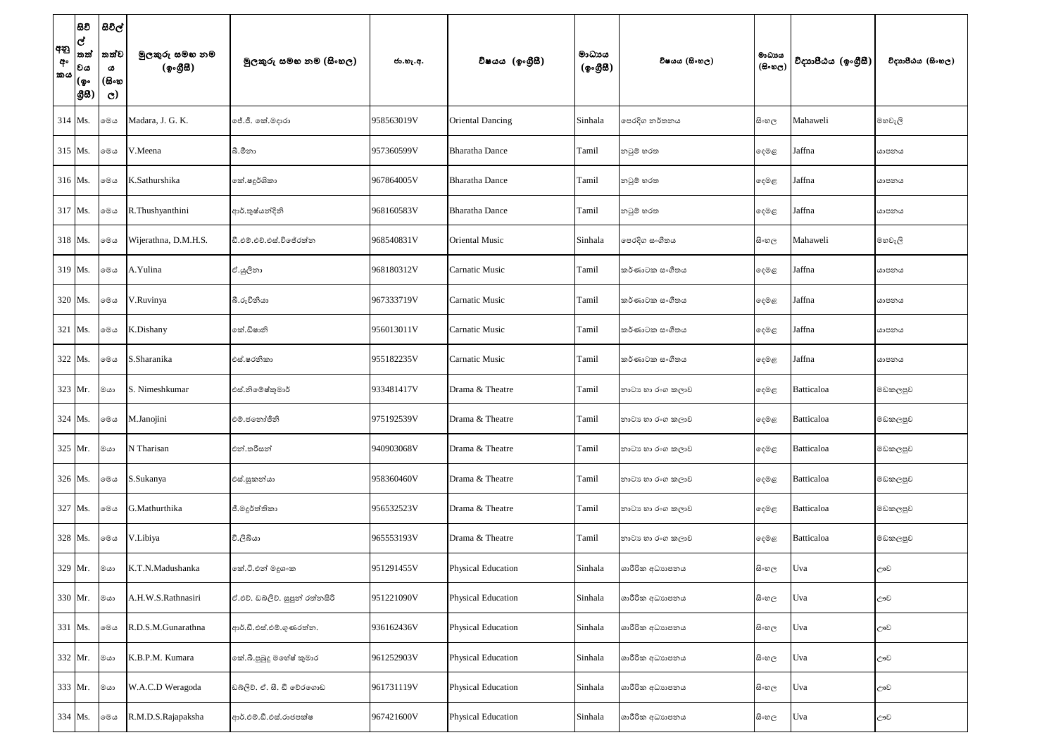| අනු<br>අං<br><b>්කය</b> | සිවි<br>$\overline{d}$<br> තත්<br> වය<br> (စွ۰<br> යුස | සිවිල්<br>තත්ව<br>ය<br>(සිංහ<br>$\mathbf{C}$ | මුලකුරු සමහ නම<br>(ඉංගීසී) | මූලකුරු සමහ නම (සිංහල)          | ජා.හැ.අ.   | විෂයය (ඉංගුීසි)           | මාධායය<br>$({\bf 2} \cdot {\bf 2} \cdot {\bf B})$ | විෂයය (සිංහල)    | මාධාය<br>$(B \circ \mathfrak{v}_C)$ | විදාහපීඨය (ඉංගීසී) | විදාහපීඨය (සිංහල) |
|-------------------------|--------------------------------------------------------|----------------------------------------------|----------------------------|---------------------------------|------------|---------------------------|---------------------------------------------------|------------------|-------------------------------------|--------------------|-------------------|
| 314 Ms.                 |                                                        | මෙය                                          | Madara, J. G. K.           | ජේ.ජී. කේ.මදාරා                 | 958563019V | <b>Oriental Dancing</b>   | Sinhala                                           | පෙරදිග නර්තනය    | සි∘හල                               | Mahaweli           | මහවැලි            |
| 315 Ms.                 |                                                        | මෙය                                          | V.Meena                    | බී.මීනා                         | 957360599V | <b>Bharatha Dance</b>     | Tamil                                             | නවූම් හරත        | ඈමළ                                 | Jaffna             | යාපනය             |
|                         | 316 Ms.                                                | මෙය                                          | K.Sathurshika              | කේ.ෂදූර්ශිකා                    | 967864005V | <b>Bharatha Dance</b>     | Tamil                                             | නවුම් හරත        | දෙමළ                                | Jaffna             | යාපනය             |
|                         | 317 Ms.                                                | මෙය                                          | R.Thushyanthini            | ආර්.තුෂ්යන්දිනි                 | 968160583V | <b>Bharatha Dance</b>     | Tamil                                             | නටුම් හරත        | දෙමළ                                | Jaffna             | යාපනය             |
|                         | 318 Ms.                                                | මෙය                                          | Wijerathna, D.M.H.S.       | ඩී.එම්.එච්.එස්.විජේරත්න         | 968540831V | <b>Oriental Music</b>     | Sinhala                                           | පෙරදිග සංගීතය    | සි∘හල                               | Mahaweli           | මහවැලි            |
|                         | 319 Ms.                                                | මෙය                                          | A.Yulina                   | ඒ.යුලිනා                        | 968180312V | Carnatic Music            | Tamil                                             | කර්ණාටක සංගීතය   | දෙමළ                                | Jaffna             | යාපනය             |
|                         | 320 Ms.                                                | ාම                                           | V.Ruvinya                  | බී.රුවිනියා                     | 967333719V | <b>Carnatic Music</b>     | Tamil                                             | කර්ණාටක සංගීතය   | දෙමළ                                | Jaffna             | යාපනය             |
|                         | 321 Ms.                                                | මෙය                                          | K.Dishany                  | කේ.ඩිෂානි                       | 956013011V | <b>Carnatic Music</b>     | Tamil                                             | කර්ණාටක සංගීතය   | දෙමළ                                | Jaffna             | යාපනය             |
|                         | $322$ Ms.                                              | මෙය                                          | S.Sharanika                | එස්.ෂරනිකා                      | 955182235V | <b>Carnatic Music</b>     | Tamil                                             | කර්ණාටක සංගීතය   | දෙමළ                                | Jaffna             | යාපනය             |
|                         | 323 Mr.                                                | මයා                                          | S. Nimeshkumar             | එස්.නිමේෂ්කුමාර්                | 933481417V | Drama & Theatre           | Tamil                                             | නාටා හා රංග කලාව | දෙමළ                                | Batticaloa         | මඩකලපුව           |
|                         | 324 Ms.                                                | මෙය                                          | M.Janojini                 | එම්.ජතෝජිනි                     | 975192539V | Drama & Theatre           | Tamil                                             | නාටා හා රංග කලාව | දෙමළ                                | <b>Batticaloa</b>  | මඩකලපුව           |
|                         | 325 Mr.                                                | මයා                                          | N Tharisan                 | එන්.තරිසන්                      | 940903068V | Drama & Theatre           | Tamil                                             | නාටා හා රංග කලාව | දෙමළ                                | <b>Batticaloa</b>  | මඩකලපුව           |
|                         | 326 Ms.                                                | මෙය                                          | S.Sukanya                  | එස්.සුකන්යා                     | 958360460V | Drama & Theatre           | Tamil                                             | නාටා හා රංග කලාව | දෙමළ                                | <b>Batticaloa</b>  | මඩකලපුව           |
|                         | 327 Ms.                                                | මෙය                                          | G.Mathurthika              | ජී.මදූර්ත්තිකා                  | 956532523V | Drama & Theatre           | Tamil                                             | නාටා හා රංග කලාව | දෙමළ                                | <b>Batticaloa</b>  | මඩකලපුව           |
|                         | 328 Ms.                                                | මෙය                                          | V.Libiya                   | වී.ලිබියා                       | 965553193V | Drama & Theatre           | Tamil                                             | නාටා හා රංග කලාව | දෙමළ                                | <b>Batticaloa</b>  | මඩකලපුව           |
|                         | 329 Mr.                                                | මයා                                          | K.T.N.Madushanka           | කේ.ටී.එන් මදුශංක                | 951291455V | <b>Physical Education</b> | Sinhala                                           | ශාරීරික අධාහපනය  | සි∘හල                               | Uva                | ඌව                |
|                         | 330 Mr.                                                | මයා                                          | A.H.W.S.Rathnasiri         | ඒ.එච්. ඩබ්ලිව්. සුපුන් රත්නසිරි | 951221090V | <b>Physical Education</b> | Sinhala                                           | ශාරීරික අධාහපනය  | සි∘හල                               | Uva                | ඌව                |
|                         | 331 Ms.                                                | මෙය                                          | R.D.S.M.Gunarathna         | ආර්.ඩී.එස්.එම්.ගුණරත්න.         | 936162436V | <b>Physical Education</b> | Sinhala                                           | ශාරීරික අධාහපනය  | සි∘හල                               | Uva                | ඌව                |
|                         | 332 Mr.                                                | මයා                                          | K.B.P.M. Kumara            | කේ.බී.පුබුදු මහේෂ් කුමාර        | 961252903V | <b>Physical Education</b> | Sinhala                                           | ශාරීරික අධාහපනය  | සි∘හල                               | Uva                | ඌව                |
|                         | 333 Mr.                                                | මයා                                          | W.A.C.D Weragoda           | ඩබ්ලිව්. ඒ. සී. ඩී වේරගොඩ       | 961731119V | <b>Physical Education</b> | Sinhala                                           | ශාරීරික අධාහපනය  | සි∘හල                               | Uva                | ඌව                |
|                         | 334 Ms.                                                | මෙය                                          | R.M.D.S.Rajapaksha         | ආර්.එම්.ඩී.එස්.රාජපක්ෂ          | 967421600V | <b>Physical Education</b> | Sinhala                                           | ශාරීරික අධාහපනය  | සි∘හල                               | Uva                | ඌව                |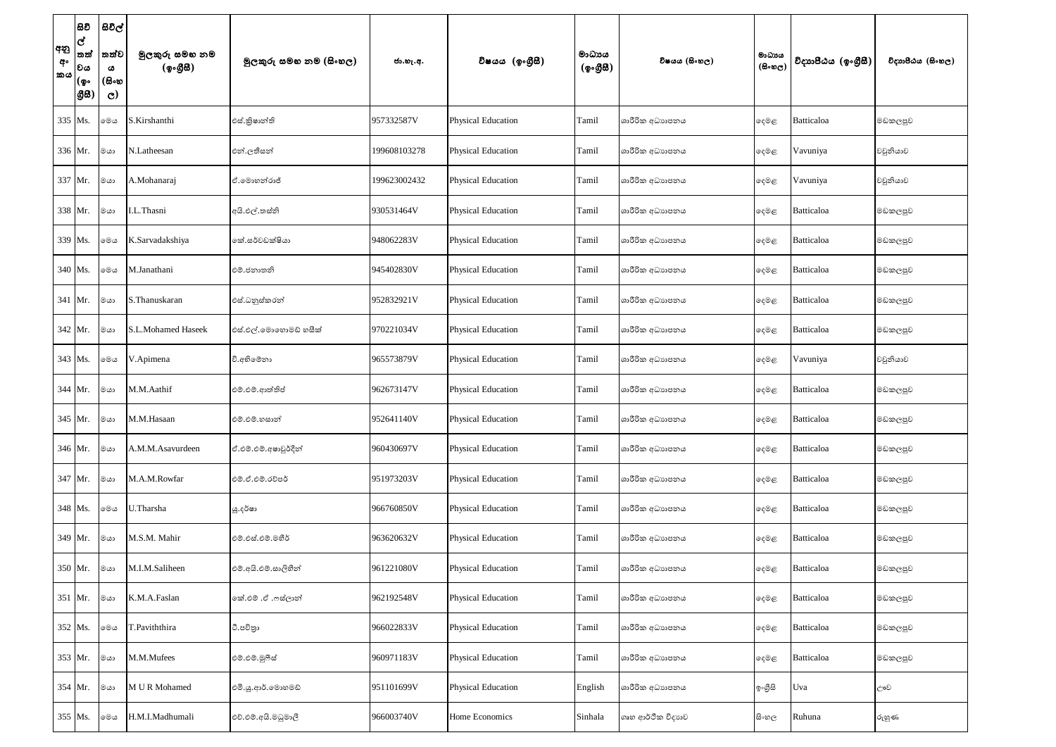| අනු<br>අං<br>කය | සිවි<br>ල්<br>තත්<br>වය<br>(စွ…<br>8සි) | සිවිල්<br>තත්ව<br>ය<br>(සිංහ<br>$\mathbf{C}$ | මුලකුරු සමහ නම<br>(ඉංගීසී) | මූලකුරු සමහ නම (සිංහල) | ජා.හැ.අ.     | විෂයය (ඉංගීසී)            | මාධායය<br>(ඉංගීසි) | විෂයය (සිංහල)     | මාධාය<br>(සිංහල) | විදාහපීඨය (ඉංගීසී) | විදාහපීඨය (සිංහල) |
|-----------------|-----------------------------------------|----------------------------------------------|----------------------------|------------------------|--------------|---------------------------|--------------------|-------------------|------------------|--------------------|-------------------|
|                 | 335 Ms.                                 | මෙය                                          | S.Kirshanthi               | එස්.කිෂාන්ති           | 957332587V   | <b>Physical Education</b> | Tamil              | ශාරීරික අධාහපනය   | දෙමළ             | Batticaloa         | මඩකලපුව           |
|                 | 336 Mr.                                 | මයා                                          | N.Latheesan                | එන්.ලතීසන්             | 199608103278 | <b>Physical Education</b> | Tamil              | ශාරීරික අධාහපනය   | දෙමළ             | Vavuniya           | වවුනියාව          |
|                 | 337 Mr.                                 | මයා                                          | A.Mohanaraj                | ඒ.මොහන්රාජ්            | 199623002432 | <b>Physical Education</b> | Tamil              | ශාරීරික අධාහපනය   | දෙමළ             | Vavuniya           | වවුනියාව          |
|                 | 338 Mr.                                 | මයා                                          | I.L.Thasni                 | අයි.එල්.තස්ති          | 930531464V   | <b>Physical Education</b> | Tamil              | ශාරීරික අධාහපනය   | දෙමළ             | Batticaloa         | මඩකලපුව           |
|                 | 339 Ms.                                 | මෙය                                          | K.Sarvadakshiya            | කේ.සර්වඩක්ෂියා         | 948062283V   | <b>Physical Education</b> | Tamil              | ශාරීරික අධාහපනය   | දෙමළ             | Batticaloa         | මඩකලපුව           |
|                 | 340 Ms.                                 | මෙය                                          | M.Janathani                | එම්.ජනාතනි             | 945402830V   | <b>Physical Education</b> | Tamil              | ශාරීරික අධාහපනය   | දෙමළ             | Batticaloa         | මඩකලපුව           |
|                 | 341 Mr.                                 | මයා                                          | S.Thanuskaran              | එස්.ධනුස්කරන්          | 952832921V   | <b>Physical Education</b> | Tamil              | ශාරීරික අධාහපනය   | දෙමළ             | Batticaloa         | මඩකලපුව           |
|                 | $342$ Mr.                               | මයා                                          | S.L.Mohamed Haseek         | එස්.එල්.මොහොමඩ් හසීක්  | 970221034V   | <b>Physical Education</b> | Tamil              | ශාරීරික අධාහපනය   | දෙමළ             | Batticaloa         | මඩකලපුව           |
|                 | 343 Ms.                                 | මෙය                                          | V.Apimena                  | වි.අභිමේනා             | 965573879V   | <b>Physical Education</b> | Tamil              | ශාරීරික අධාහපනය   | දෙමළ             | Vavuniya           | වවුනියාව          |
|                 | $344$ Mr.                               | මයා                                          | M.M.Aathif                 | එම්.එම්.ආත්තිප්        | 962673147V   | <b>Physical Education</b> | Tamil              | ශාරීරික අධාහපනය   | දෙමළ             | Batticaloa         | මඩකලපුව           |
|                 | 345 Mr.                                 | මයා                                          | M.M.Hasaan                 | එම්.එම්.හසාන්          | 952641140V   | Physical Education        | Tamil              | ශාරීරික අධාහපනය   | දෙමළ             | <b>Batticaloa</b>  | මඩකලපුව           |
|                 | 346 Mr.                                 | ∣මයා                                         | A.M.M.Asavurdeen           | ඒ.එම්.එම්.අෂාවූර්දීන්  | 960430697V   | Physical Education        | Tamil              | ශාරීරික අධාහපනය   | දෙමළ             | Batticaloa         | මඩකලපුව           |
|                 | 347 Mr.                                 | මයා                                          | M.A.M.Rowfar               | එම්.ඒ.එම්.රව්පර්       | 951973203V   | <b>Physical Education</b> | Tamil              | ශාරීරික අධාහපනය   | දෙමළ             | Batticaloa         | මඩකලපුව           |
|                 | 348 Ms.                                 | මෙය                                          | U.Tharsha                  | යූ.දර්ෂා               | 966760850V   | <b>Physical Education</b> | Tamil              | ශාරීරික අධාහපනය   | දෙමළ             | Batticaloa         | මඩකලපුව           |
|                 | 349 Mr.                                 | මයා                                          | M.S.M. Mahir               | එම්.එස්.එම්.මහීර්      | 963620632V   | <b>Physical Education</b> | Tamil              | ශාරීරික අධාහපනය   | දෙමළ             | Batticaloa         | මඩකලපුව           |
|                 | 350 Mr.                                 | මයා                                          | M.I.M.Saliheen             | එම්.අයි.එම්.සාලිහීන්   | 961221080V   | <b>Physical Education</b> | Tamil              | ශාරීරික අධාහපනය   | දෙමළ             | Batticaloa         | මඩකලපුව           |
|                 | 351 Mr.                                 | මයා                                          | K.M.A.Faslan               | කේ.එම් .ඒ .ෆස්ලාන්     | 962192548V   | Physical Education        | Tamil              | ශාරීරික අධාහපනය   | දෙමළ             | Batticaloa         | මඩකලපුව           |
|                 | 352 Ms.                                 | මෙය                                          | T.Paviththira              | ටී.පවිතුා              | 966022833V   | <b>Physical Education</b> | Tamil              | ශාරීරික අධාහපනය   | දෙමළ             | Batticaloa         | මඩකලපුව           |
|                 | 353 Mr.                                 | මයා                                          | M.M.Mufees                 | එම්.එම්.මූෆීස්         | 960971183V   | <b>Physical Education</b> | Tamil              | ශාරීරික අධාහපනය   | දෙමළ             | Batticaloa         | මඩකලපුව           |
|                 | 354 Mr.                                 | මයා                                          | M U R Mohamed              | එමි.යූ.ආර්.මොහමඩ්      | 951101699V   | <b>Physical Education</b> | English            | ශාරීරික අධාහපනය   | ඉංගීසි           | Uva                | ඌව                |
|                 | 355 Ms.                                 | මෙය                                          | H.M.I.Madhumali            | එච්.එම්.අයි.මධූමාලී    | 966003740V   | Home Economics            | Sinhala            | ගෘහ ආර්ථික විදාහව | සිංහල            | Ruhuna             | රුහුණ             |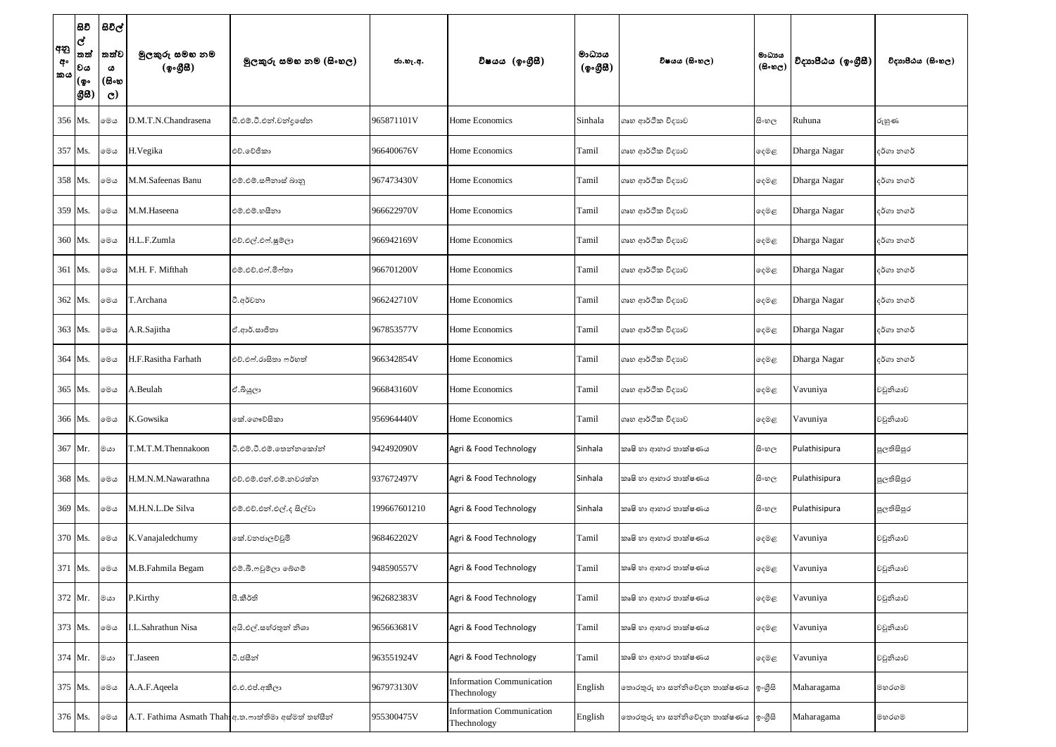| අනු<br>අං<br>කය | සිවි<br>ල්<br>තත්<br>වය<br>(စွ…<br>88) | සිවිල්<br>තත්ව<br>ය<br>(සිංහ<br>$\mathbf{C}$ | මුලකුරු සමහ නම<br>(ඉංගීසී) | මූලකුරු සමහ නම (සිංහල)                               | ජා.හැ.අ.     | විෂයය (ඉංගීසී)                                  | මාධායය<br>$({\bf 2} \cdot {\bf 2} \cdot {\bf B})$ | විෂයය (සිංහල)                         | මාධාය<br>(සිංහල) | විදාහපීඨය (ඉංගීසී) | විදාහපීඨය (සිංහල) |
|-----------------|----------------------------------------|----------------------------------------------|----------------------------|------------------------------------------------------|--------------|-------------------------------------------------|---------------------------------------------------|---------------------------------------|------------------|--------------------|-------------------|
|                 | 356 Ms.                                | මෙය                                          | D.M.T.N.Chandrasena        | ඩී.එම්.ටී.එන්.චන්දුසේන                               | 965871101V   | Home Economics                                  | Sinhala                                           | ගෘහ ආර්ථික විදාහව                     | සි∘හල            | Ruhuna             | රුහුණ             |
|                 | 357 Ms.                                | මෙය                                          | H.Vegika                   | එච්. වේජිකා                                          | 966400676V   | Home Economics                                  | Tamil                                             | ගෘහ ආර්ථික විදාහව                     | දෙමළ             | Dharga Nagar       | දර්ගා නගර්        |
|                 | 358 Ms.                                | මෙය                                          | M.M.Safeenas Banu          | එම්.එම්.සෆීනාස් බානු                                 | 967473430V   | Home Economics                                  | Tamil                                             | ගෘහ ආර්ථික විදාහව                     | දෙමළ             | Dharga Nagar       | දර්ගා නගර්        |
|                 | 359 Ms.                                | මෙය                                          | M.M.Haseena                | එම්.එම්.හසිනා                                        | 966622970V   | Home Economics                                  | Tamil                                             | ගෘහ ආර්ථික විදාහව                     | දෙමළ             | Dharga Nagar       | දර්ගා නගර්        |
|                 | 360 Ms.                                | මෙය                                          | H.L.F.Zumla                | එච්.එල්.එෆ්.ෂුම්ලා                                   | 966942169V   | Home Economics                                  | Tamil                                             | ගෘහ ආර්ථික විදාහව                     | දෙමළ             | Dharga Nagar       | දර්ගා නගර්        |
|                 | 361 Ms.                                | මෙය                                          | M.H. F. Mifthah            | එම්.එච්.එෆ්.මිෆ්තා                                   | 966701200V   | Home Economics                                  | Tamil                                             | ගෘහ ආර්ථික විදාහව                     | දෙමළ             | Dharga Nagar       | දර්ගා නගර්        |
|                 | 362 Ms.                                | මෙය                                          | T.Archana                  | ටී.අර්වනා                                            | 966242710V   | Home Economics                                  | Tamil                                             | ගෘහ ආර්ථික විදාහව                     | දෙමළ             | Dharga Nagar       | දර්ගා නගර්        |
|                 | 363 Ms.                                | මෙය                                          | A.R.Sajitha                | ඒ.ආර්.සාජිතා                                         | 967853577V   | Home Economics                                  | Tamil                                             | ගෘහ ආර්ථික විදාහව                     | දෙමළ             | Dharga Nagar       | දර්ගා නගර්        |
|                 | 364 Ms.                                | මෙය                                          | H.F.Rasitha Farhath        | එච්.එෆ්.රාසිතා ෆර්හත්                                | 966342854V   | Home Economics                                  | Tamil                                             | ගෘහ ආර්ථික විදාහව                     | දෙමළ             | Dharga Nagar       | දර්ගා නගර්        |
|                 | 365 Ms.                                | මෙය                                          | A.Beulah                   | ඒ.බියුලා                                             | 966843160V   | Home Economics                                  | Tamil                                             | ගෘහ ආර්ථික විදාහව                     | දෙමළ             | Vavuniya           | වවුනියාව          |
|                 | 366 Ms.                                | මෙය                                          | K.Gowsika                  | කේ.ගෞව්සිකා                                          | 956964440V   | Home Economics                                  | Tamil                                             | ගෘහ ආර්ථික විදාහව                     | දෙමළ             | Vavuniya           | වවුනියාව          |
|                 | 367 Mr.                                | මයා                                          | T.M.T.M.Thennakoon         | ටී.එම්.ටී.එම්.තෙන්නකෝන්                              | 942492090V   | Agri & Food Technology                          | Sinhala                                           | කෘෂි හා ආහාර තාක්ෂණය                  | සි∘හල            | Pulathisipura      | පුලතිසිපුර        |
|                 | 368 Ms.                                | මෙය                                          | H.M.N.M.Nawarathna         | එච්.එම්.එන්.එම්.නවරත්න                               | 937672497V   | Agri & Food Technology                          | Sinhala                                           | කෘෂි හා ආහාර තාක්ෂණය                  | සිංහල            | Pulathisipura      | පුලතිසිපුර        |
|                 | 369 Ms.                                | මෙය                                          | M.H.N.L.De Silva           | එම්.එච්.එන්.එල්.ද සිල්වා                             | 199667601210 | Agri & Food Technology                          | Sinhala                                           | කෘෂි හා ආහාර තාක්ෂණය                  | සි∘හල            | Pulathisipura      | පුලතිසිපුර        |
|                 | 370 Ms.                                | මෙය                                          | K.Vanajaledchumy           | කේ.වනජාලච්චුමි                                       | 968462202V   | Agri & Food Technology                          | Tamil                                             | කෘෂි හා ආහාර තාක්ෂණය                  | දෙමළ             | Vavuniya           | වවුනියාව          |
|                 | 371 Ms.                                | මෙය                                          | M.B.Fahmila Begam          | එම්.බී.ෆවුම්ලා බේගම්                                 | 948590557V   | Agri & Food Technology                          | Tamil                                             | කෘෂි හා ආහාර තාක්ෂණය                  | දෙමළ             | Vavuniya           | වවුනියාව          |
|                 | 372 Mr.                                | මයා                                          | P.Kirthy                   | පී. කීර්ති                                           | 962682383V   | Agri & Food Technology                          | Tamil                                             | කෘෂි හා ආහාර තාක්ෂණය                  | දෙමළ             | Vavuniya           | වවුනියාව          |
|                 | 373 Ms.                                | මෙය                                          | I.L.Sahrathun Nisa         | අයි.එල්.සහ්රතුන් නිශා                                | 965663681V   | Agri & Food Technology                          | Tamil                                             | කෘෂි හා ආහාර තාක්ෂණය                  | දෙමළ             | Vavuniya           | වවුනියාව          |
|                 | 374 Mr.                                | මයා                                          | T.Jaseen                   | ටී.ජසීන්                                             | 963551924V   | Agri & Food Technology                          | Tamil                                             | කෘෂි හා ආහාර තාක්ෂණය                  | දෙමළ             | Vavuniya           | වවුනියාව          |
|                 | 375 Ms.                                | මෙය                                          | A.A.F.Aqeela               | එ.එ.එප්.අකීලා                                        | 967973130V   | <b>Information Communication</b><br>Thechnology | English                                           | තොරතුරු හා සන්නිවේදන තාක්ෂණය  ඉංගීසි  |                  | Maharagama         | මහරගම             |
|                 | 376 Ms.                                | මෙය                                          |                            | A.T. Fathima Asmath Thah අ.ත.ෆාත්තිමා අස්මත් තහ්සීන් | 955300475V   | <b>Information Communication</b><br>Thechnology | English                                           | නොරතුරු හා සන්නිවේදන තාක්ෂණය  ඉංගීුසි |                  | Maharagama         | මහරගම             |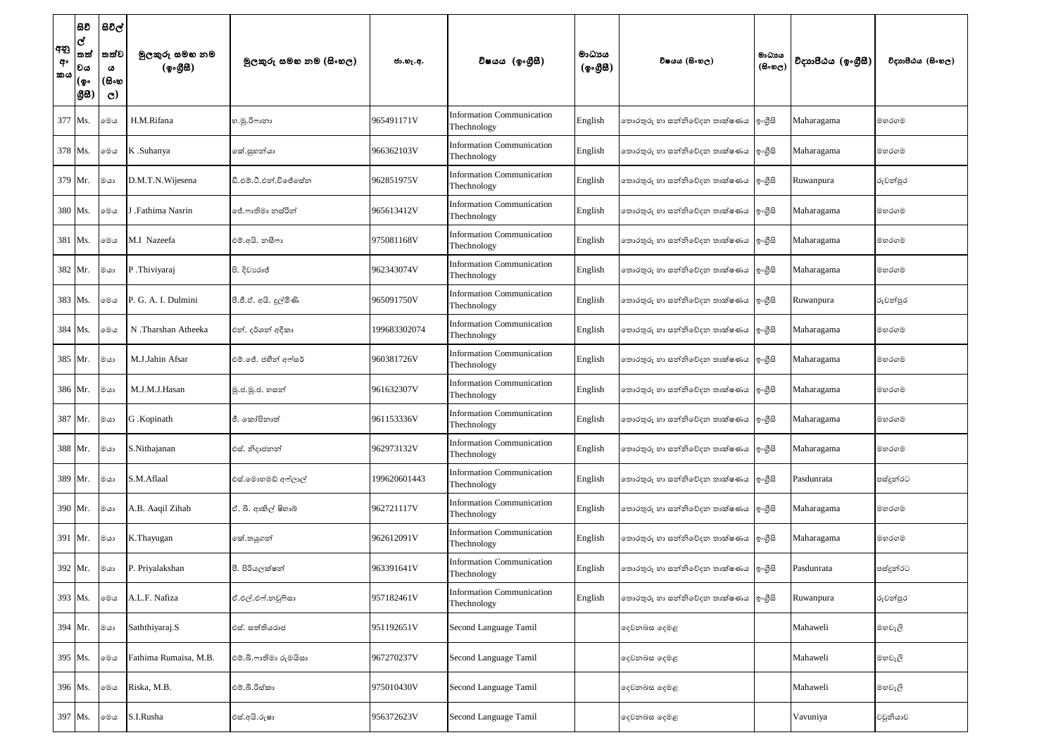| අනු<br>අං<br>කය | සිවි<br>$\overline{\mathbf{c}}$<br> තත්<br>වය<br> (စွ۰<br> යුස | සිවිල්<br>තත්ව<br>ය<br>(සිංහ<br>$\mathbf{C}$ | මුලකුරු සමහ නම<br>(ඉංගීසී) | මූලකුරු සමහ නම (සිංහල) | ජා.හැ.අ.     | විෂයය (ඉංගීසී)                                  | මාධායය<br>(ඉංගීසී) | විෂයය (සිංහල)                         | මාධායය<br>$(B \circ \mathfrak{v}_C)$ | විදාහපීඨය (ඉංගීසී) | විදාහපීඨය (සිංහල) |
|-----------------|----------------------------------------------------------------|----------------------------------------------|----------------------------|------------------------|--------------|-------------------------------------------------|--------------------|---------------------------------------|--------------------------------------|--------------------|-------------------|
|                 | 377 Ms.                                                        | මෙග                                          | H.M.Rifana                 | හ.මු.රිෆානා            | 965491171V   | <b>Information Communication</b><br>Thechnology | English            | තොරතුරු හා සන්නිවේදන තාක්ෂණය  ඉංගීුසි |                                      | Maharagama         | මහරගම             |
|                 | 378 Ms.                                                        | මෙය                                          | K .Suhanya                 | කේ.සුහන්යා             | 966362103V   | <b>Information Communication</b><br>Thechnology | English            | නොරතුරු හා සන්නිවේදන තාක්ෂණය  ඉංගීුසි |                                      | Maharagama         | මහරගම             |
|                 | 379 Mr.                                                        | මයා                                          | D.M.T.N.Wijesena           | ඩී.එම්.ටී.එන්.විජේසේන  | 962851975V   | <b>Information Communication</b><br>Thechnology | English            | තොරතුරු හා සන්නිවේදන තාක්ෂණය  ඉංගීුසි |                                      | Ruwanpura          | රුවන්පුර          |
|                 | 380 Ms.                                                        | මෙය                                          | J .Fathima Nasrin          | ජේ.ෆාතිමා නස්රින්      | 965613412V   | <b>Information Communication</b><br>Thechnology | English            | තොරතුරු හා සන්නිවේදන තාක්ෂණය  ්ඉංගීසි |                                      | Maharagama         | මහරගම             |
|                 | 381 Ms.                                                        | මෙය                                          | M.I Nazeefa                | එම්.අයි. නසීෆා         | 975081168V   | <b>Information Communication</b><br>Thechnology | English            | තොරතුරු හා සන්නිවේදන තාක්ෂණය  ඉංගීුසි |                                      | Maharagama         | මහරගම             |
|                 | 382 Mr.                                                        | ගය                                           | P.Thiviyaraj               | පි. දිවාගෙජ්           | 962343074V   | <b>Information Communication</b><br>Thechnology | English            | තොරතුරු හා සන්නිවේදන තාක්ෂණය  ඉංගීුසි |                                      | Maharagama         | මහරගම             |
|                 | 383 Ms.                                                        | මෙය                                          | P. G. A. I. Dulmini        | පී.ජී.ඒ. අයි. දුල්මිණි | 965091750V   | <b>Information Communication</b><br>Thechnology | English            | නොරතුරු හා සන්නිවේදන තාක්ෂණය  ඉංගීුසි |                                      | Ruwanpura          | රුවන්පුර          |
|                 | 384 Ms.                                                        | මෙය                                          | N.Tharshan Atheeka         | එන්. දර්ශන් අදිකා      | 199683302074 | <b>Information Communication</b><br>Thechnology | English            | තොරතුරු හා සන්නිවේදන තාක්ෂණය  ඉංගීුසි |                                      | Maharagama         | මහරගම             |
|                 | 385 Mr.                                                        | මයා                                          | M.J.Jahin Afsar            | එම්.ජේ. ජහීන් අෆ්සර්   | 960381726V   | <b>Information Communication</b><br>Thechnology | English            | තොරතුරු හා සන්නිවේදන තාක්ෂණය  ්ඉංගීසි |                                      | Maharagama         | මහරගම             |
|                 | 386 Mr.                                                        | මයා                                          | M.J.M.J.Hasan              | මු.ජ.මූ.ජ. හසන්        | 961632307V   | <b>Information Communication</b><br>Thechnology | English            | තොරතුරු හා සන්නිවේදන තාක්ෂණය  ඉංගීුසි |                                      | Maharagama         | මහරගම             |
|                 | 387 Mr.                                                        | ගග                                           | G .Kopinath                | ජී. කෝපිනාත්           | 961153336V   | <b>Information Communication</b><br>Thechnology | English            | නොරතුරු හා සන්නිවේදන තාක්ෂණය  ඉංගීුසි |                                      | Maharagama         | මහරගම             |
|                 | 388 Mr.                                                        | මයා                                          | S.Nithajanan               | එස්. නිදාජනන්          | 962973132V   | <b>Information Communication</b><br>Thechnology | English            | නොරතුරු හා සන්නිවේදන තාක්ෂණය  ඉංගීුසි |                                      | Maharagama         | මහරගම             |
|                 | 389 Mr.                                                        | මයා                                          | S.M.Aflaal                 | එස්.මොහමඩ් අෆ්ලාල්     | 199620601443 | <b>Information Communication</b><br>Thechnology | English            | තොරතුරු හා සන්නිවේදන තාක්ෂණය  ඉංගීුසි |                                      | Pasdunrata         | පස්දුන්රට         |
|                 | 390 Mr.                                                        | මයා                                          | A.B. Aaqil Zihab           | ඒ. බි. ආකිල් ෂිහාබ්    | 962721117V   | <b>Information Communication</b><br>Thechnology | English            | නොරතුරු හා සන්නිවේදන තාක්ෂණය  ඉංගීුසි |                                      | Maharagama         | මහරගම             |
|                 | 391 Mr.                                                        | මයා                                          | K.Thayugan                 | කේ.තයුගන්              | 962612091V   | <b>Information Communication</b><br>Thechnology | English            | තොරතුරු හා සන්නිවේදන තාක්ෂණය  ඉංගීුසි |                                      | Maharagama         | මහරගම             |
|                 | 392 Mr.                                                        | ගග                                           | P. Priyalakshan            | පී. පිරියලක්ෂන්        | 963391641V   | <b>Information Communication</b><br>Thechnology | English            | තොරතුරු හා සන්නිවේදන තාක්ෂණය  ඉංගීුසි |                                      | Pasdunrata         | පස්දුන්රට         |
|                 | 393 Ms.                                                        | මෙය                                          | A.L.F. Nafiza              | ඒ.එල්.එෆ්.නවූෆිසා      | 957182461V   | <b>Information Communication</b><br>Thechnology | English            | නොරතුරු හා සන්නිවේදන තාක්ෂණය  ඉංගීුසි |                                      | Ruwanpura          | රුවන්පුර          |
|                 | 394 Mr.                                                        | මයා                                          | Saththiyaraj.S             | එස්. සත්තියරාජ         | 951192651V   | Second Language Tamil                           |                    | දෙවනබස දෙමළ                           |                                      | Mahaweli           | මහවැලි            |
|                 | 395 Ms.                                                        | මෙය                                          | Fathima Rumaisa, M.B.      | එම්.බී.ෆාතිමා රුමයිසා  | 967270237V   | Second Language Tamil                           |                    | දෙවනබස දෙමළ                           |                                      | Mahaweli           | මහවැලි            |
|                 | 396 Ms.                                                        | මෙය                                          | Riska, M.B.                | එම්.බී.රිස්කා          | 975010430V   | Second Language Tamil                           |                    | දෙවනබස දෙමළ                           |                                      | Mahaweli           | මහවැලි            |
|                 | 397 Ms.                                                        | මෙය                                          | S.I.Rusha                  | එස්.අයි.රුෂා           | 956372623V   | Second Language Tamil                           |                    | දෙවනබස දෙමළ                           |                                      | Vavuniya           | වවුනියාව          |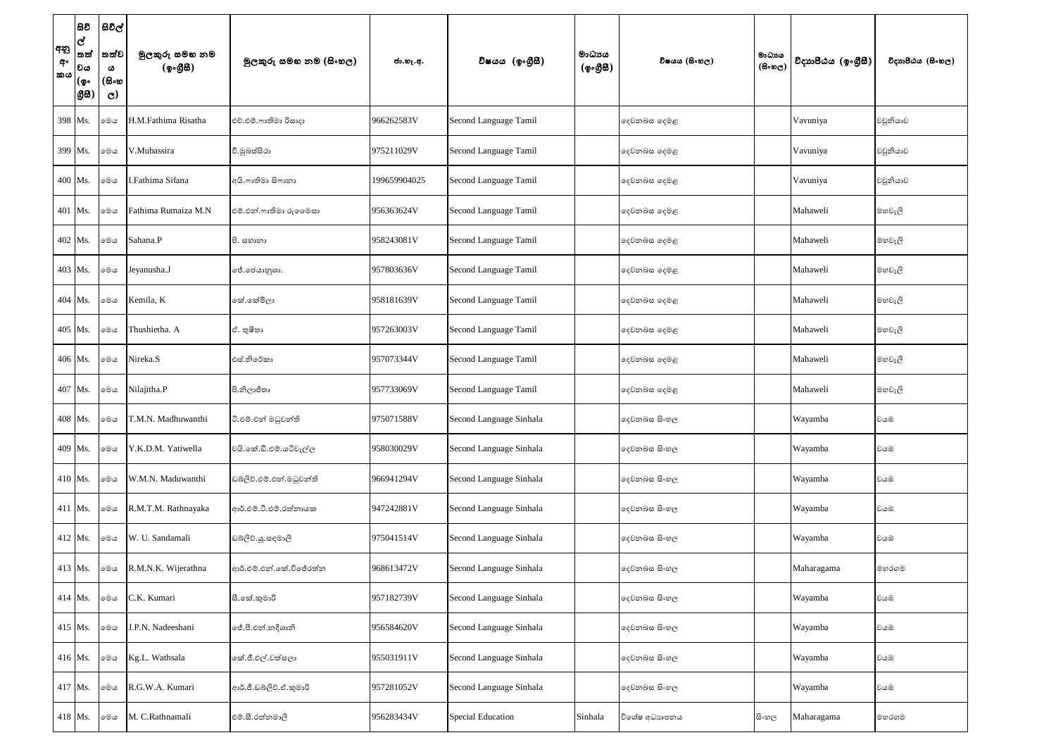| අනු<br>අං<br>කය | සිවි<br>ල්<br>තත්<br> වය<br>(စွ۰<br> යුස | සිවිල්<br>තත්ව<br>ය<br>(සිංහ<br>$\mathbf{C}$ | මුලකුරු සමහ නම<br>(ඉංගීසී) | මූලකුරු සමහ නම (සිංහල)   | ජා.හැ.අ.     | විෂයය (ඉංගීුසී)          | මාධායය<br>(ඉංගීසී) | විෂයය (සිංහල) | මාධාය<br>$(B \circ \mathfrak{v}_C)$ | විදාහපීඨය (ඉංගීසී) | විදාහපීඨය (සිංහල) |
|-----------------|------------------------------------------|----------------------------------------------|----------------------------|--------------------------|--------------|--------------------------|--------------------|---------------|-------------------------------------|--------------------|-------------------|
|                 | 398 Ms.                                  | මෙය                                          | H.M.Fathima Risatha        | එච්.එම්.ෆාතිමා රිසාදා    | 966262583V   | Second Language Tamil    |                    | දෙවනබස දෙමළ   |                                     | Vavuniya           | වවුනියාව          |
|                 | 399 Ms.                                  | මෙය                                          | V.Mubassira                | වී.මුඛස්සිරා             | 975211029V   | Second Language Tamil    |                    | දෙවනබස දෙමළ   |                                     | Vavuniya           | වවුනියාව          |
|                 | 400 Ms.                                  | මෙය                                          | .Fathima Sifana            | අයි.ෆාතිමා සිෆානා        | 199659904025 | Second Language Tamil    |                    | දෙවනබස දෙමළ   |                                     | Vavuniya           | වවුනියාව          |
|                 | 401 Ms.                                  | මෙය                                          | Fathima Rumaiza M.N        | එම්.එන්.ෆාතිමා රුලෙමසා   | 956363624V   | Second Language Tamil    |                    | දෙවනබස දෙමළ   |                                     | Mahaweli           | මහවැලි            |
|                 | 402 Ms.                                  | මෙය                                          | Sahana.P                   | පි. සහානා                | 958243081V   | Second Language Tamil    |                    | දෙවනබස දෙමළ   |                                     | Mahaweli           | මහවැලි            |
|                 | 403 Ms.                                  | මෙය                                          | Jeyanusha.J                | ජේ.ජෙයානුශා.             | 957803636V   | Second Language Tamil    |                    | දෙවනබස දෙමළ   |                                     | Mahaweli           | මහවැලි            |
|                 | 404 Ms.                                  | මෙය                                          | Kemila, K                  | කේ.කේමිලා                | 958181639V   | Second Language Tamil    |                    | දෙවනබස දෙමළ   |                                     | Mahaweli           | මහවැලි            |
|                 | 405 Ms.                                  | මෙය                                          | Thushietha. A              | ඒ. තුෂීතා                | 957263003V   | Second Language Tamil    |                    | දෙවනබස දෙමළ   |                                     | Mahaweli           | මහවැලි            |
|                 | 406 Ms.                                  | මෙය                                          | Nireka.S                   | එස්.නිරේකා               | 957073344V   | Second Language Tamil    |                    | දෙවනබස දෙමළ   |                                     | Mahaweli           | මහවැලි            |
|                 | 407 Ms.                                  | මෙය                                          | Nilajitha.P                | පි.නිලාජිතා              | 957733069V   | Second Language Tamil    |                    | දෙවනබස දෙමළ   |                                     | Mahaweli           | මහවැලි            |
|                 | 408 Ms.                                  | මෙය                                          | <b>T.M.N.</b> Madhuwanthi  | ටි.එම්.එන් මධුවන්ති      | 975071588V   | Second Language Sinhala  |                    | දෙවනබස සිංහල  |                                     | Wayamba            | වයඹ               |
|                 | 409 Ms.                                  | මෙය                                          | Y.K.D.M. Yatiwella         | වයි.කේ.ඩී.එම්.යටිවැල්ල   | 958030029V   | Second Language Sinhala  |                    | දෙවනබස සිංහල  |                                     | Wayamba            | වයඹ               |
|                 | 410 Ms.                                  | මෙය                                          | W.M.N. Maduwanthi          | ඩබ්ලිව්.එම්.එන්.මධුවන්ති | 966941294V   | Second Language Sinhala  |                    | දෙවනබස සිංහල  |                                     | Wayamba            | වයඹ               |
|                 | $411$ Ms.                                | මෙය                                          | R.M.T.M. Rathnayaka        | ආර්.එම්.ටී.එම්.රත්නායක   | 947242881V   | Second Language Sinhala  |                    | දෙවනබස සිංහල  |                                     | Wayamba            | වයඹ               |
|                 | 412 Ms.                                  | මෙය                                          | W. U. Sandamali            | ඩබලිව්.යූ.සඳමාලි         | 975041514V   | Second Language Sinhala  |                    | දෙවනබස සිංහල  |                                     | Wayamba            | වයඹ               |
|                 | 413 Ms.                                  | මෙය                                          | R.M.N.K. Wijerathna        | ආර්.එම්.එන්.කේ.විජේරත්න  | 968613472V   | Second Language Sinhala  |                    | දෙවනබස සිංහල  |                                     | Maharagama         | මහරගම             |
|                 | 414 Ms.                                  | මෙය                                          | C.K. Kumari                | සී.කේ.කුමාරි             | 957182739V   | Second Language Sinhala  |                    | දෙවනබස සිංහල  |                                     | Wayamba            | වයඹ               |
|                 | 415 Ms.                                  | මෙය                                          | J.P.N. Nadeeshani          | ්රී.පී.එන්.නදීශානි       | 956584620V   | Second Language Sinhala  |                    | දෙවනබස සිංහල  |                                     | Wayamba            | වයඹ               |
|                 | 416 Ms.                                  | මෙය                                          | Kg.L. Wathsala             | කේ.ජී.එල්.වත්සලා         | 955031911V   | Second Language Sinhala  |                    | දෙවනබස සිංහල  |                                     | Wayamba            | වයඹ               |
|                 | 417 Ms.                                  | මෙය                                          | R.G.W.A. Kumari            | ආර්.ජී.ඩබ්ලිව්.ඒ.කුමාරි  | 957281052V   | Second Language Sinhala  |                    | දෙවනබස සිංහල  |                                     | Wayamba            | වයඹ               |
|                 | 418 Ms.                                  | මෙය                                          | M. C.Rathnamali            | එම්.සී.රත්නමාලි          | 956283434V   | <b>Special Education</b> | Sinhala            | විශේෂ අධාහපනය | සි∘හල                               | Maharagama         | මහරගම             |